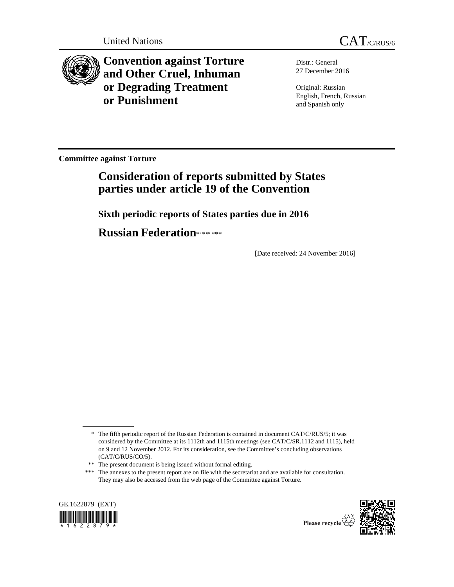

**Convention against Torture and Other Cruel, Inhuman or Degrading Treatment or Punishment**

Distr.: General 27 December 2016

Original: Russian English, French, Russian and Spanish only

**Committee against Torture** 

# **Consideration of reports submitted by States parties under article 19 of the Convention**

 **Sixth periodic reports of States parties due in 2016** 

 **Russian Federation**\***,** \*\***,** \*\*\*

[Date received: 24 November 2016]

<sup>\*\*\*</sup> The annexes to the present report are on file with the secretariat and are available for consultation. They may also be accessed from the web page of the Committee against Torture.



 $\overline{a}$ 



 <sup>\*</sup> The fifth periodic report of the Russian Federation is contained in document CAT/C/RUS/5; it was considered by the Committee at its 1112th and 1115th meetings (see CAT/C/SR.1112 and 1115), held on 9 and 12 November 2012. For its consideration, see the Committee's concluding observations (CAT/C/RUS/CO/5).

 <sup>\*\*</sup> The present document is being issued without formal editing.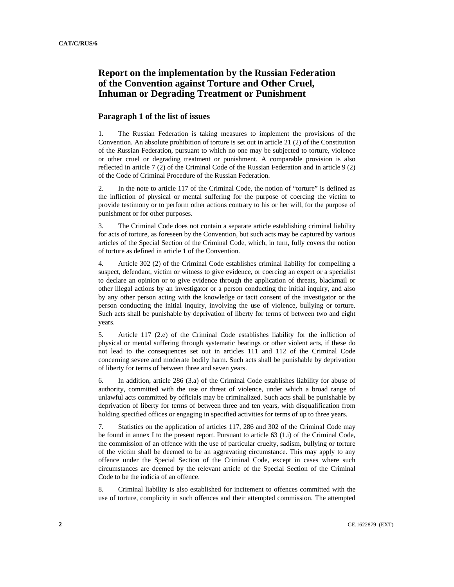## **Report on the implementation by the Russian Federation of the Convention against Torture and Other Cruel, Inhuman or Degrading Treatment or Punishment**

## **Paragraph 1 of the list of issues**

1. The Russian Federation is taking measures to implement the provisions of the Convention. An absolute prohibition of torture is set out in article 21 (2) of the Constitution of the Russian Federation, pursuant to which no one may be subjected to torture, violence or other cruel or degrading treatment or punishment. A comparable provision is also reflected in article 7 (2) of the Criminal Code of the Russian Federation and in article 9 (2) of the Code of Criminal Procedure of the Russian Federation.

2. In the note to article 117 of the Criminal Code, the notion of "torture" is defined as the infliction of physical or mental suffering for the purpose of coercing the victim to provide testimony or to perform other actions contrary to his or her will, for the purpose of punishment or for other purposes.

3. The Criminal Code does not contain a separate article establishing criminal liability for acts of torture, as foreseen by the Convention, but such acts may be captured by various articles of the Special Section of the Criminal Code, which, in turn, fully covers the notion of torture as defined in article 1 of the Convention.

4. Article 302 (2) of the Criminal Code establishes criminal liability for compelling a suspect, defendant, victim or witness to give evidence, or coercing an expert or a specialist to declare an opinion or to give evidence through the application of threats, blackmail or other illegal actions by an investigator or a person conducting the initial inquiry, and also by any other person acting with the knowledge or tacit consent of the investigator or the person conducting the initial inquiry, involving the use of violence, bullying or torture. Such acts shall be punishable by deprivation of liberty for terms of between two and eight years.

5. Article 117 (2.e) of the Criminal Code establishes liability for the infliction of physical or mental suffering through systematic beatings or other violent acts, if these do not lead to the consequences set out in articles 111 and 112 of the Criminal Code concerning severe and moderate bodily harm. Such acts shall be punishable by deprivation of liberty for terms of between three and seven years.

6. In addition, article 286 (3.a) of the Criminal Code establishes liability for abuse of authority, committed with the use or threat of violence, under which a broad range of unlawful acts committed by officials may be criminalized. Such acts shall be punishable by deprivation of liberty for terms of between three and ten years, with disqualification from holding specified offices or engaging in specified activities for terms of up to three years.

7. Statistics on the application of articles 117, 286 and 302 of the Criminal Code may be found in annex I to the present report. Pursuant to article 63 (1.i) of the Criminal Code, the commission of an offence with the use of particular cruelty, sadism, bullying or torture of the victim shall be deemed to be an aggravating circumstance. This may apply to any offence under the Special Section of the Criminal Code, except in cases where such circumstances are deemed by the relevant article of the Special Section of the Criminal Code to be the indicia of an offence.

8. Criminal liability is also established for incitement to offences committed with the use of torture, complicity in such offences and their attempted commission. The attempted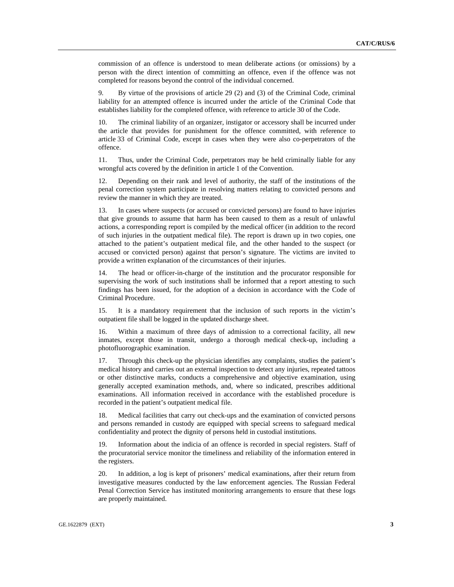commission of an offence is understood to mean deliberate actions (or omissions) by a person with the direct intention of committing an offence, even if the offence was not completed for reasons beyond the control of the individual concerned.

9. By virtue of the provisions of article 29 (2) and (3) of the Criminal Code, criminal liability for an attempted offence is incurred under the article of the Criminal Code that establishes liability for the completed offence, with reference to article 30 of the Code.

10. The criminal liability of an organizer, instigator or accessory shall be incurred under the article that provides for punishment for the offence committed, with reference to article 33 of Criminal Code, except in cases when they were also co-perpetrators of the offence.

11. Thus, under the Criminal Code, perpetrators may be held criminally liable for any wrongful acts covered by the definition in article 1 of the Convention.

12. Depending on their rank and level of authority, the staff of the institutions of the penal correction system participate in resolving matters relating to convicted persons and review the manner in which they are treated.

13. In cases where suspects (or accused or convicted persons) are found to have injuries that give grounds to assume that harm has been caused to them as a result of unlawful actions, a corresponding report is compiled by the medical officer (in addition to the record of such injuries in the outpatient medical file). The report is drawn up in two copies, one attached to the patient's outpatient medical file, and the other handed to the suspect (or accused or convicted person) against that person's signature. The victims are invited to provide a written explanation of the circumstances of their injuries.

14. The head or officer-in-charge of the institution and the procurator responsible for supervising the work of such institutions shall be informed that a report attesting to such findings has been issued, for the adoption of a decision in accordance with the Code of Criminal Procedure.

15. It is a mandatory requirement that the inclusion of such reports in the victim's outpatient file shall be logged in the updated discharge sheet.

16. Within a maximum of three days of admission to a correctional facility, all new inmates, except those in transit, undergo a thorough medical check-up, including a photofluorographic examination.

17. Through this check-up the physician identifies any complaints, studies the patient's medical history and carries out an external inspection to detect any injuries, repeated tattoos or other distinctive marks, conducts a comprehensive and objective examination, using generally accepted examination methods, and, where so indicated, prescribes additional examinations. All information received in accordance with the established procedure is recorded in the patient's outpatient medical file.

18. Medical facilities that carry out check-ups and the examination of convicted persons and persons remanded in custody are equipped with special screens to safeguard medical confidentiality and protect the dignity of persons held in custodial institutions.

19. Information about the indicia of an offence is recorded in special registers. Staff of the procuratorial service monitor the timeliness and reliability of the information entered in the registers.

20. In addition, a log is kept of prisoners' medical examinations, after their return from investigative measures conducted by the law enforcement agencies. The Russian Federal Penal Correction Service has instituted monitoring arrangements to ensure that these logs are properly maintained.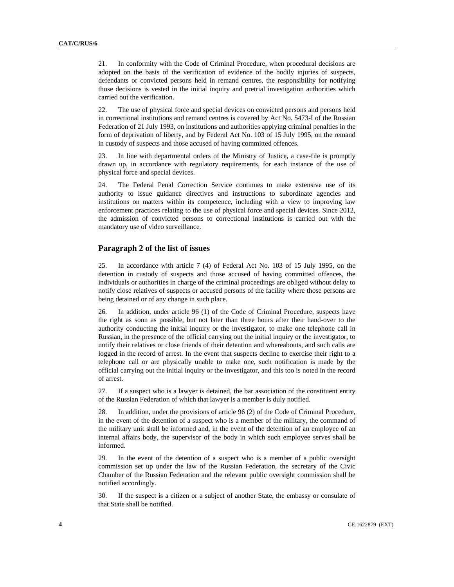21. In conformity with the Code of Criminal Procedure, when procedural decisions are adopted on the basis of the verification of evidence of the bodily injuries of suspects, defendants or convicted persons held in remand centres, the responsibility for notifying those decisions is vested in the initial inquiry and pretrial investigation authorities which carried out the verification.

22. The use of physical force and special devices on convicted persons and persons held in correctional institutions and remand centres is covered by Act No. 5473-I of the Russian Federation of 21 July 1993, on institutions and authorities applying criminal penalties in the form of deprivation of liberty, and by Federal Act No. 103 of 15 July 1995, on the remand in custody of suspects and those accused of having committed offences.

23. In line with departmental orders of the Ministry of Justice, a case-file is promptly drawn up, in accordance with regulatory requirements, for each instance of the use of physical force and special devices.

24. The Federal Penal Correction Service continues to make extensive use of its authority to issue guidance directives and instructions to subordinate agencies and institutions on matters within its competence, including with a view to improving law enforcement practices relating to the use of physical force and special devices. Since 2012, the admission of convicted persons to correctional institutions is carried out with the mandatory use of video surveillance.

## **Paragraph 2 of the list of issues**

25. In accordance with article 7 (4) of Federal Act No. 103 of 15 July 1995, on the detention in custody of suspects and those accused of having committed offences, the individuals or authorities in charge of the criminal proceedings are obliged without delay to notify close relatives of suspects or accused persons of the facility where those persons are being detained or of any change in such place.

26. In addition, under article 96 (1) of the Code of Criminal Procedure, suspects have the right as soon as possible, but not later than three hours after their hand-over to the authority conducting the initial inquiry or the investigator, to make one telephone call in Russian, in the presence of the official carrying out the initial inquiry or the investigator, to notify their relatives or close friends of their detention and whereabouts, and such calls are logged in the record of arrest. In the event that suspects decline to exercise their right to a telephone call or are physically unable to make one, such notification is made by the official carrying out the initial inquiry or the investigator, and this too is noted in the record of arrest.

27. If a suspect who is a lawyer is detained, the bar association of the constituent entity of the Russian Federation of which that lawyer is a member is duly notified.

28. In addition, under the provisions of article 96 (2) of the Code of Criminal Procedure, in the event of the detention of a suspect who is a member of the military, the command of the military unit shall be informed and, in the event of the detention of an employee of an internal affairs body, the supervisor of the body in which such employee serves shall be informed.

29. In the event of the detention of a suspect who is a member of a public oversight commission set up under the law of the Russian Federation, the secretary of the Civic Chamber of the Russian Federation and the relevant public oversight commission shall be notified accordingly.

30. If the suspect is a citizen or a subject of another State, the embassy or consulate of that State shall be notified.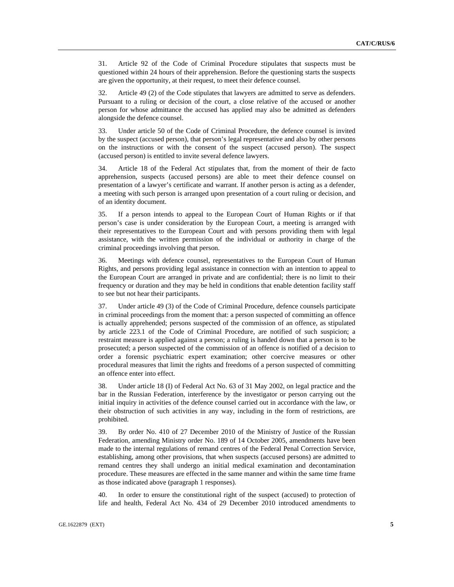31. Article 92 of the Code of Criminal Procedure stipulates that suspects must be questioned within 24 hours of their apprehension. Before the questioning starts the suspects are given the opportunity, at their request, to meet their defence counsel.

32. Article 49 (2) of the Code stipulates that lawyers are admitted to serve as defenders. Pursuant to a ruling or decision of the court, a close relative of the accused or another person for whose admittance the accused has applied may also be admitted as defenders alongside the defence counsel.

33. Under article 50 of the Code of Criminal Procedure, the defence counsel is invited by the suspect (accused person), that person's legal representative and also by other persons on the instructions or with the consent of the suspect (accused person). The suspect (accused person) is entitled to invite several defence lawyers.

34. Article 18 of the Federal Act stipulates that, from the moment of their de facto apprehension, suspects (accused persons) are able to meet their defence counsel on presentation of a lawyer's certificate and warrant. If another person is acting as a defender, a meeting with such person is arranged upon presentation of a court ruling or decision, and of an identity document.

35. If a person intends to appeal to the European Court of Human Rights or if that person's case is under consideration by the European Court, a meeting is arranged with their representatives to the European Court and with persons providing them with legal assistance, with the written permission of the individual or authority in charge of the criminal proceedings involving that person.

36. Meetings with defence counsel, representatives to the European Court of Human Rights, and persons providing legal assistance in connection with an intention to appeal to the European Court are arranged in private and are confidential; there is no limit to their frequency or duration and they may be held in conditions that enable detention facility staff to see but not hear their participants.

37. Under article 49 (3) of the Code of Criminal Procedure, defence counsels participate in criminal proceedings from the moment that: a person suspected of committing an offence is actually apprehended; persons suspected of the commission of an offence, as stipulated by article 223.1 of the Code of Criminal Procedure, are notified of such suspicion; a restraint measure is applied against a person; a ruling is handed down that a person is to be prosecuted; a person suspected of the commission of an offence is notified of a decision to order a forensic psychiatric expert examination; other coercive measures or other procedural measures that limit the rights and freedoms of a person suspected of committing an offence enter into effect.

38. Under article 18 (I) of Federal Act No. 63 of 31 May 2002, on legal practice and the bar in the Russian Federation, interference by the investigator or person carrying out the initial inquiry in activities of the defence counsel carried out in accordance with the law, or their obstruction of such activities in any way, including in the form of restrictions, are prohibited.

39. By order No. 410 of 27 December 2010 of the Ministry of Justice of the Russian Federation, amending Ministry order No. 189 of 14 October 2005, amendments have been made to the internal regulations of remand centres of the Federal Penal Correction Service, establishing, among other provisions, that when suspects (accused persons) are admitted to remand centres they shall undergo an initial medical examination and decontamination procedure. These measures are effected in the same manner and within the same time frame as those indicated above (paragraph 1 responses).

40. In order to ensure the constitutional right of the suspect (accused) to protection of life and health, Federal Act No. 434 of 29 December 2010 introduced amendments to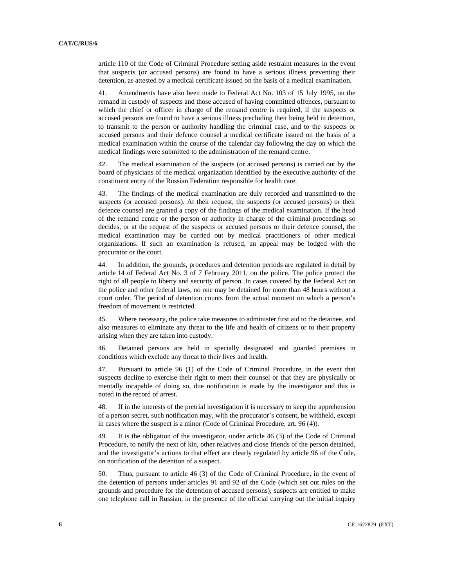article 110 of the Code of Criminal Procedure setting aside restraint measures in the event that suspects (or accused persons) are found to have a serious illness preventing their detention, as attested by a medical certificate issued on the basis of a medical examination.

41. Amendments have also been made to Federal Act No. 103 of 15 July 1995, on the remand in custody of suspects and those accused of having committed offences, pursuant to which the chief or officer in charge of the remand centre is required, if the suspects or accused persons are found to have a serious illness precluding their being held in detention, to transmit to the person or authority handling the criminal case, and to the suspects or accused persons and their defence counsel a medical certificate issued on the basis of a medical examination within the course of the calendar day following the day on which the medical findings were submitted to the administration of the remand centre.

42. The medical examination of the suspects (or accused persons) is carried out by the board of physicians of the medical organization identified by the executive authority of the constituent entity of the Russian Federation responsible for health care.

43. The findings of the medical examination are duly recorded and transmitted to the suspects (or accused persons). At their request, the suspects (or accused persons) or their defence counsel are granted a copy of the findings of the medical examination. If the head of the remand centre or the person or authority in charge of the criminal proceedings so decides, or at the request of the suspects or accused persons or their defence counsel, the medical examination may be carried out by medical practitioners of other medical organizations. If such an examination is refused, an appeal may be lodged with the procurator or the court.

44. In addition, the grounds, procedures and detention periods are regulated in detail by article 14 of Federal Act No. 3 of 7 February 2011, on the police. The police protect the right of all people to liberty and security of person. In cases covered by the Federal Act on the police and other federal laws, no one may be detained for more than 48 hours without a court order. The period of detention counts from the actual moment on which a person's freedom of movement is restricted.

45. Where necessary, the police take measures to administer first aid to the detainee, and also measures to eliminate any threat to the life and health of citizens or to their property arising when they are taken into custody.

46. Detained persons are held in specially designated and guarded premises in conditions which exclude any threat to their lives and health.

47. Pursuant to article 96 (1) of the Code of Criminal Procedure, in the event that suspects decline to exercise their right to meet their counsel or that they are physically or mentally incapable of doing so, due notification is made by the investigator and this is noted in the record of arrest.

48. If in the interests of the pretrial investigation it is necessary to keep the apprehension of a person secret, such notification may, with the procurator's consent, be withheld, except in cases where the suspect is a minor (Code of Criminal Procedure, art. 96 (4)).

49. It is the obligation of the investigator, under article 46 (3) of the Code of Criminal Procedure, to notify the next of kin, other relatives and close friends of the person detained, and the investigator's actions to that effect are clearly regulated by article 96 of the Code, on notification of the detention of a suspect.

50. Thus, pursuant to article 46 (3) of the Code of Criminal Procedure, in the event of the detention of persons under articles 91 and 92 of the Code (which set out rules on the grounds and procedure for the detention of accused persons), suspects are entitled to make one telephone call in Russian, in the presence of the official carrying out the initial inquiry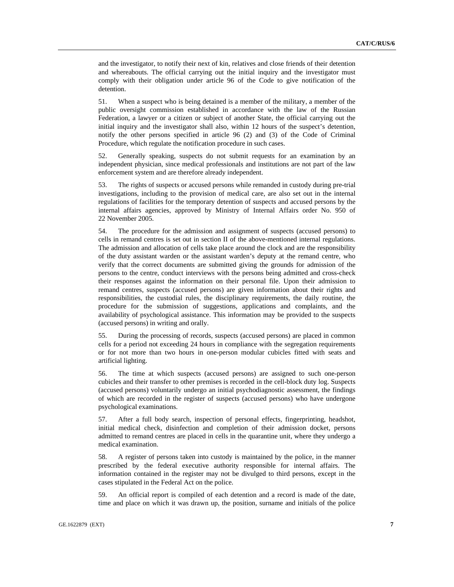and the investigator, to notify their next of kin, relatives and close friends of their detention and whereabouts. The official carrying out the initial inquiry and the investigator must comply with their obligation under article 96 of the Code to give notification of the detention.

51. When a suspect who is being detained is a member of the military, a member of the public oversight commission established in accordance with the law of the Russian Federation, a lawyer or a citizen or subject of another State, the official carrying out the initial inquiry and the investigator shall also, within 12 hours of the suspect's detention, notify the other persons specified in article 96 (2) and (3) of the Code of Criminal Procedure, which regulate the notification procedure in such cases.

52. Generally speaking, suspects do not submit requests for an examination by an independent physician, since medical professionals and institutions are not part of the law enforcement system and are therefore already independent.

53. The rights of suspects or accused persons while remanded in custody during pre-trial investigations, including to the provision of medical care, are also set out in the internal regulations of facilities for the temporary detention of suspects and accused persons by the internal affairs agencies, approved by Ministry of Internal Affairs order No. 950 of 22 November 2005.

54. The procedure for the admission and assignment of suspects (accused persons) to cells in remand centres is set out in section II of the above-mentioned internal regulations. The admission and allocation of cells take place around the clock and are the responsibility of the duty assistant warden or the assistant warden's deputy at the remand centre, who verify that the correct documents are submitted giving the grounds for admission of the persons to the centre, conduct interviews with the persons being admitted and cross-check their responses against the information on their personal file. Upon their admission to remand centres, suspects (accused persons) are given information about their rights and responsibilities, the custodial rules, the disciplinary requirements, the daily routine, the procedure for the submission of suggestions, applications and complaints, and the availability of psychological assistance. This information may be provided to the suspects (accused persons) in writing and orally.

55. During the processing of records, suspects (accused persons) are placed in common cells for a period not exceeding 24 hours in compliance with the segregation requirements or for not more than two hours in one-person modular cubicles fitted with seats and artificial lighting.

56. The time at which suspects (accused persons) are assigned to such one-person cubicles and their transfer to other premises is recorded in the cell-block duty log. Suspects (accused persons) voluntarily undergo an initial psychodiagnostic assessment, the findings of which are recorded in the register of suspects (accused persons) who have undergone psychological examinations.

57. After a full body search, inspection of personal effects, fingerprinting, headshot, initial medical check, disinfection and completion of their admission docket, persons admitted to remand centres are placed in cells in the quarantine unit, where they undergo a medical examination.

58. A register of persons taken into custody is maintained by the police, in the manner prescribed by the federal executive authority responsible for internal affairs. The information contained in the register may not be divulged to third persons, except in the cases stipulated in the Federal Act on the police.

59. An official report is compiled of each detention and a record is made of the date, time and place on which it was drawn up, the position, surname and initials of the police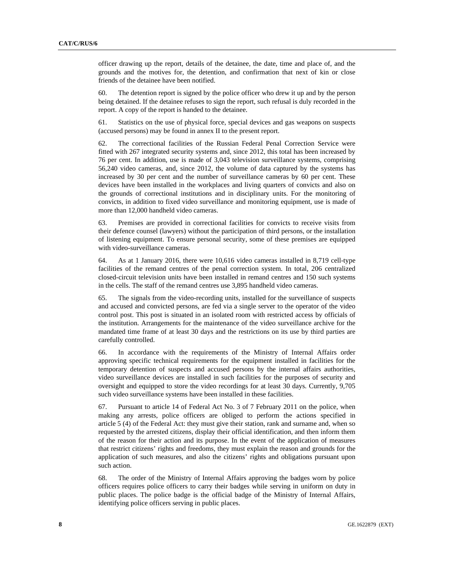officer drawing up the report, details of the detainee, the date, time and place of, and the grounds and the motives for, the detention, and confirmation that next of kin or close friends of the detainee have been notified.

60. The detention report is signed by the police officer who drew it up and by the person being detained. If the detainee refuses to sign the report, such refusal is duly recorded in the report. A copy of the report is handed to the detainee.

61. Statistics on the use of physical force, special devices and gas weapons on suspects (accused persons) may be found in annex II to the present report.

62. The correctional facilities of the Russian Federal Penal Correction Service were fitted with 267 integrated security systems and, since 2012, this total has been increased by 76 per cent. In addition, use is made of 3,043 television surveillance systems, comprising 56,240 video cameras, and, since 2012, the volume of data captured by the systems has increased by 30 per cent and the number of surveillance cameras by 60 per cent. These devices have been installed in the workplaces and living quarters of convicts and also on the grounds of correctional institutions and in disciplinary units. For the monitoring of convicts, in addition to fixed video surveillance and monitoring equipment, use is made of more than 12,000 handheld video cameras.

63. Premises are provided in correctional facilities for convicts to receive visits from their defence counsel (lawyers) without the participation of third persons, or the installation of listening equipment. To ensure personal security, some of these premises are equipped with video-surveillance cameras.

64. As at 1 January 2016, there were 10,616 video cameras installed in 8,719 cell-type facilities of the remand centres of the penal correction system. In total, 206 centralized closed-circuit television units have been installed in remand centres and 150 such systems in the cells. The staff of the remand centres use 3,895 handheld video cameras.

65. The signals from the video-recording units, installed for the surveillance of suspects and accused and convicted persons, are fed via a single server to the operator of the video control post. This post is situated in an isolated room with restricted access by officials of the institution. Arrangements for the maintenance of the video surveillance archive for the mandated time frame of at least 30 days and the restrictions on its use by third parties are carefully controlled.

66. In accordance with the requirements of the Ministry of Internal Affairs order approving specific technical requirements for the equipment installed in facilities for the temporary detention of suspects and accused persons by the internal affairs authorities, video surveillance devices are installed in such facilities for the purposes of security and oversight and equipped to store the video recordings for at least 30 days. Currently, 9,705 such video surveillance systems have been installed in these facilities.

67. Pursuant to article 14 of Federal Act No. 3 of 7 February 2011 on the police, when making any arrests, police officers are obliged to perform the actions specified in article 5 (4) of the Federal Act: they must give their station, rank and surname and, when so requested by the arrested citizens, display their official identification, and then inform them of the reason for their action and its purpose. In the event of the application of measures that restrict citizens' rights and freedoms, they must explain the reason and grounds for the application of such measures, and also the citizens' rights and obligations pursuant upon such action.

68. The order of the Ministry of Internal Affairs approving the badges worn by police officers requires police officers to carry their badges while serving in uniform on duty in public places. The police badge is the official badge of the Ministry of Internal Affairs, identifying police officers serving in public places.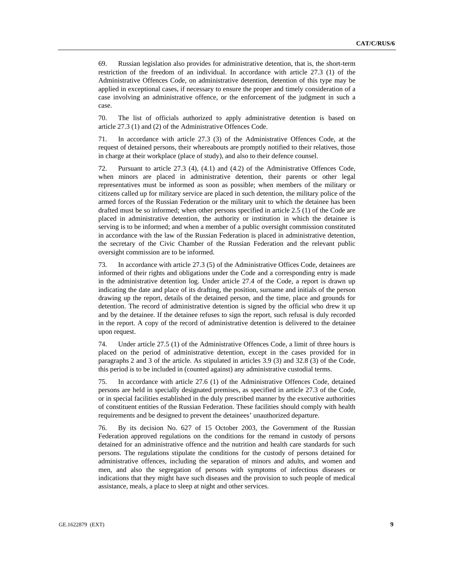69. Russian legislation also provides for administrative detention, that is, the short-term restriction of the freedom of an individual. In accordance with article 27.3 (1) of the Administrative Offences Code, on administrative detention, detention of this type may be applied in exceptional cases, if necessary to ensure the proper and timely consideration of a case involving an administrative offence, or the enforcement of the judgment in such a case.

70. The list of officials authorized to apply administrative detention is based on article 27.3 (1) and (2) of the Administrative Offences Code.

71. In accordance with article 27.3 (3) of the Administrative Offences Code, at the request of detained persons, their whereabouts are promptly notified to their relatives, those in charge at their workplace (place of study), and also to their defence counsel.

72. Pursuant to article 27.3 (4), (4.1) and (4.2) of the Administrative Offences Code, when minors are placed in administrative detention, their parents or other legal representatives must be informed as soon as possible; when members of the military or citizens called up for military service are placed in such detention, the military police of the armed forces of the Russian Federation or the military unit to which the detainee has been drafted must be so informed; when other persons specified in article 2.5 (1) of the Code are placed in administrative detention, the authority or institution in which the detainee is serving is to be informed; and when a member of a public oversight commission constituted in accordance with the law of the Russian Federation is placed in administrative detention, the secretary of the Civic Chamber of the Russian Federation and the relevant public oversight commission are to be informed.

73. In accordance with article 27.3 (5) of the Administrative Offices Code, detainees are informed of their rights and obligations under the Code and a corresponding entry is made in the administrative detention log. Under article 27.4 of the Code, a report is drawn up indicating the date and place of its drafting, the position, surname and initials of the person drawing up the report, details of the detained person, and the time, place and grounds for detention. The record of administrative detention is signed by the official who drew it up and by the detainee. If the detainee refuses to sign the report, such refusal is duly recorded in the report. A copy of the record of administrative detention is delivered to the detainee upon request.

74. Under article 27.5 (1) of the Administrative Offences Code, a limit of three hours is placed on the period of administrative detention, except in the cases provided for in paragraphs 2 and 3 of the article. As stipulated in articles 3.9 (3) and 32.8 (3) of the Code, this period is to be included in (counted against) any administrative custodial terms.

75. In accordance with article 27.6 (1) of the Administrative Offences Code, detained persons are held in specially designated premises, as specified in article 27.3 of the Code, or in special facilities established in the duly prescribed manner by the executive authorities of constituent entities of the Russian Federation. These facilities should comply with health requirements and be designed to prevent the detainees' unauthorized departure.

76. By its decision No. 627 of 15 October 2003, the Government of the Russian Federation approved regulations on the conditions for the remand in custody of persons detained for an administrative offence and the nutrition and health care standards for such persons. The regulations stipulate the conditions for the custody of persons detained for administrative offences, including the separation of minors and adults, and women and men, and also the segregation of persons with symptoms of infectious diseases or indications that they might have such diseases and the provision to such people of medical assistance, meals, a place to sleep at night and other services.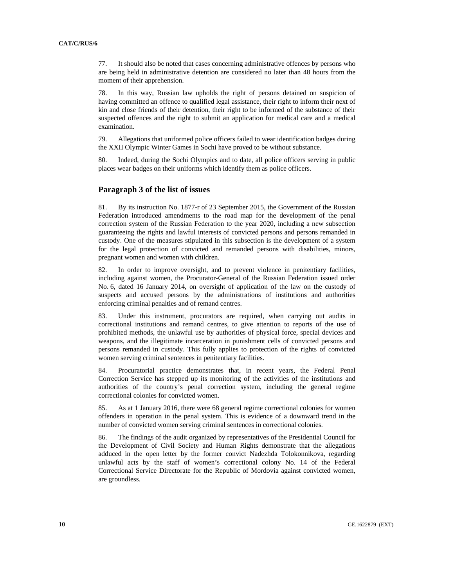77. It should also be noted that cases concerning administrative offences by persons who are being held in administrative detention are considered no later than 48 hours from the moment of their apprehension.

78. In this way, Russian law upholds the right of persons detained on suspicion of having committed an offence to qualified legal assistance, their right to inform their next of kin and close friends of their detention, their right to be informed of the substance of their suspected offences and the right to submit an application for medical care and a medical examination.

79. Allegations that uniformed police officers failed to wear identification badges during the XXII Olympic Winter Games in Sochi have proved to be without substance.

80. Indeed, during the Sochi Olympics and to date, all police officers serving in public places wear badges on their uniforms which identify them as police officers.

#### **Paragraph 3 of the list of issues**

81. By its instruction No. 1877-r of 23 September 2015, the Government of the Russian Federation introduced amendments to the road map for the development of the penal correction system of the Russian Federation to the year 2020, including a new subsection guaranteeing the rights and lawful interests of convicted persons and persons remanded in custody. One of the measures stipulated in this subsection is the development of a system for the legal protection of convicted and remanded persons with disabilities, minors, pregnant women and women with children.

82. In order to improve oversight, and to prevent violence in penitentiary facilities, including against women, the Procurator-General of the Russian Federation issued order No. 6, dated 16 January 2014, on oversight of application of the law on the custody of suspects and accused persons by the administrations of institutions and authorities enforcing criminal penalties and of remand centres.

83. Under this instrument, procurators are required, when carrying out audits in correctional institutions and remand centres, to give attention to reports of the use of prohibited methods, the unlawful use by authorities of physical force, special devices and weapons, and the illegitimate incarceration in punishment cells of convicted persons and persons remanded in custody. This fully applies to protection of the rights of convicted women serving criminal sentences in penitentiary facilities.

84. Procuratorial practice demonstrates that, in recent years, the Federal Penal Correction Service has stepped up its monitoring of the activities of the institutions and authorities of the country's penal correction system, including the general regime correctional colonies for convicted women.

85. As at 1 January 2016, there were 68 general regime correctional colonies for women offenders in operation in the penal system. This is evidence of a downward trend in the number of convicted women serving criminal sentences in correctional colonies.

86. The findings of the audit organized by representatives of the Presidential Council for the Development of Civil Society and Human Rights demonstrate that the allegations adduced in the open letter by the former convict Nadezhda Tolokonnikova, regarding unlawful acts by the staff of women's correctional colony No. 14 of the Federal Correctional Service Directorate for the Republic of Mordovia against convicted women, are groundless.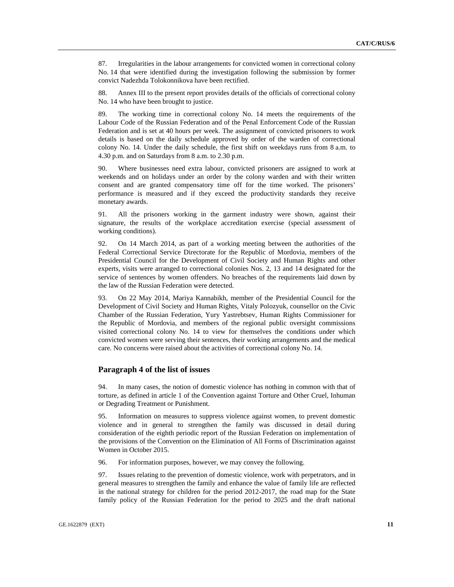87. Irregularities in the labour arrangements for convicted women in correctional colony No. 14 that were identified during the investigation following the submission by former convict Nadezhda Tolokonnikova have been rectified.

88. Annex III to the present report provides details of the officials of correctional colony No. 14 who have been brought to justice.

89. The working time in correctional colony No. 14 meets the requirements of the Labour Code of the Russian Federation and of the Penal Enforcement Code of the Russian Federation and is set at 40 hours per week. The assignment of convicted prisoners to work details is based on the daily schedule approved by order of the warden of correctional colony No. 14. Under the daily schedule, the first shift on weekdays runs from 8 a.m. to 4.30 p.m. and on Saturdays from 8 a.m. to 2.30 p.m.

90. Where businesses need extra labour, convicted prisoners are assigned to work at weekends and on holidays under an order by the colony warden and with their written consent and are granted compensatory time off for the time worked. The prisoners' performance is measured and if they exceed the productivity standards they receive monetary awards.

91. All the prisoners working in the garment industry were shown, against their signature, the results of the workplace accreditation exercise (special assessment of working conditions).

92. On 14 March 2014, as part of a working meeting between the authorities of the Federal Correctional Service Directorate for the Republic of Mordovia, members of the Presidential Council for the Development of Civil Society and Human Rights and other experts, visits were arranged to correctional colonies Nos. 2, 13 and 14 designated for the service of sentences by women offenders. No breaches of the requirements laid down by the law of the Russian Federation were detected.

93. On 22 May 2014, Mariya Kannabikh, member of the Presidential Council for the Development of Civil Society and Human Rights, Vitaly Polozyuk, counsellor on the Civic Chamber of the Russian Federation, Yury Yastrebtsev, Human Rights Commissioner for the Republic of Mordovia, and members of the regional public oversight commissions visited correctional colony No. 14 to view for themselves the conditions under which convicted women were serving their sentences, their working arrangements and the medical care. No concerns were raised about the activities of correctional colony No. 14.

## **Paragraph 4 of the list of issues**

94. In many cases, the notion of domestic violence has nothing in common with that of torture, as defined in article 1 of the Convention against Torture and Other Cruel, Inhuman or Degrading Treatment or Punishment.

95. Information on measures to suppress violence against women, to prevent domestic violence and in general to strengthen the family was discussed in detail during consideration of the eighth periodic report of the Russian Federation on implementation of the provisions of the Convention on the Elimination of All Forms of Discrimination against Women in October 2015.

96. For information purposes, however, we may convey the following.

97. Issues relating to the prevention of domestic violence, work with perpetrators, and in general measures to strengthen the family and enhance the value of family life are reflected in the national strategy for children for the period 2012-2017, the road map for the State family policy of the Russian Federation for the period to 2025 and the draft national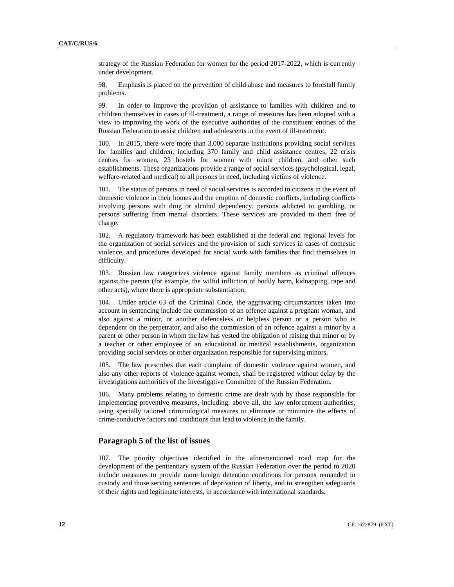strategy of the Russian Federation for women for the period 2017-2022, which is currently under development.

98. Emphasis is placed on the prevention of child abuse and measures to forestall family problems.

99. In order to improve the provision of assistance to families with children and to children themselves in cases of ill-treatment, a range of measures has been adopted with a view to improving the work of the executive authorities of the constituent entities of the Russian Federation to assist children and adolescents in the event of ill-treatment.

100. In 2015, there were more than 3,000 separate institutions providing social services for families and children, including 370 family and child assistance centres, 22 crisis centres for women, 23 hostels for women with minor children, and other such establishments. These organizations provide a range of social services (psychological, legal, welfare-related and medical) to all persons in need, including victims of violence.

101. The status of persons in need of social services is accorded to citizens in the event of domestic violence in their homes and the eruption of domestic conflicts, including conflicts involving persons with drug or alcohol dependency, persons addicted to gambling, or persons suffering from mental disorders. These services are provided to them free of charge.

102. A regulatory framework has been established at the federal and regional levels for the organization of social services and the provision of such services in cases of domestic violence, and procedures developed for social work with families that find themselves in difficulty.

103. Russian law categorizes violence against family members as criminal offences against the person (for example, the wilful infliction of bodily harm, kidnapping, rape and other acts), where there is appropriate substantiation.

104. Under article 63 of the Criminal Code, the aggravating circumstances taken into account in sentencing include the commission of an offence against a pregnant woman, and also against a minor, or another defenceless or helpless person or a person who is dependent on the perpetrator, and also the commission of an offence against a minor by a parent or other person in whom the law has vested the obligation of raising that minor or by a teacher or other employee of an educational or medical establishments, organization providing social services or other organization responsible for supervising minors.

105. The law prescribes that each complaint of domestic violence against women, and also any other reports of violence against women, shall be registered without delay by the investigations authorities of the Investigative Committee of the Russian Federation.

106. Many problems relating to domestic crime are dealt with by those responsible for implementing preventive measures, including, above all, the law enforcement authorities, using specially tailored criminological measures to eliminate or minimize the effects of crime-conducive factors and conditions that lead to violence in the family.

## **Paragraph 5 of the list of issues**

107. The priority objectives identified in the aforementioned road map for the development of the penitentiary system of the Russian Federation over the period to 2020 include measures to provide more benign detention conditions for persons remanded in custody and those serving sentences of deprivation of liberty, and to strengthen safeguards of their rights and legitimate interests, in accordance with international standards.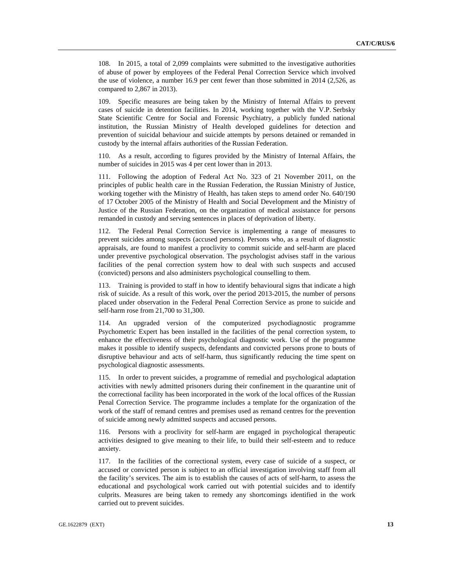108. In 2015, a total of 2,099 complaints were submitted to the investigative authorities of abuse of power by employees of the Federal Penal Correction Service which involved the use of violence, a number 16.9 per cent fewer than those submitted in 2014 (2,526, as compared to 2,867 in 2013).

109. Specific measures are being taken by the Ministry of Internal Affairs to prevent cases of suicide in detention facilities. In 2014, working together with the V.P. Serbsky State Scientific Centre for Social and Forensic Psychiatry, a publicly funded national institution, the Russian Ministry of Health developed guidelines for detection and prevention of suicidal behaviour and suicide attempts by persons detained or remanded in custody by the internal affairs authorities of the Russian Federation.

110. As a result, according to figures provided by the Ministry of Internal Affairs, the number of suicides in 2015 was 4 per cent lower than in 2013.

111. Following the adoption of Federal Act No. 323 of 21 November 2011, on the principles of public health care in the Russian Federation, the Russian Ministry of Justice, working together with the Ministry of Health, has taken steps to amend order No. 640/190 of 17 October 2005 of the Ministry of Health and Social Development and the Ministry of Justice of the Russian Federation, on the organization of medical assistance for persons remanded in custody and serving sentences in places of deprivation of liberty.

112. The Federal Penal Correction Service is implementing a range of measures to prevent suicides among suspects (accused persons). Persons who, as a result of diagnostic appraisals, are found to manifest a proclivity to commit suicide and self-harm are placed under preventive psychological observation. The psychologist advises staff in the various facilities of the penal correction system how to deal with such suspects and accused (convicted) persons and also administers psychological counselling to them.

113. Training is provided to staff in how to identify behavioural signs that indicate a high risk of suicide. As a result of this work, over the period 2013-2015, the number of persons placed under observation in the Federal Penal Correction Service as prone to suicide and self-harm rose from 21,700 to 31,300.

114. An upgraded version of the computerized psychodiagnostic programme Psychometric Expert has been installed in the facilities of the penal correction system, to enhance the effectiveness of their psychological diagnostic work. Use of the programme makes it possible to identify suspects, defendants and convicted persons prone to bouts of disruptive behaviour and acts of self-harm, thus significantly reducing the time spent on psychological diagnostic assessments.

115. In order to prevent suicides, a programme of remedial and psychological adaptation activities with newly admitted prisoners during their confinement in the quarantine unit of the correctional facility has been incorporated in the work of the local offices of the Russian Penal Correction Service. The programme includes a template for the organization of the work of the staff of remand centres and premises used as remand centres for the prevention of suicide among newly admitted suspects and accused persons.

116. Persons with a proclivity for self-harm are engaged in psychological therapeutic activities designed to give meaning to their life, to build their self-esteem and to reduce anxiety.

117. In the facilities of the correctional system, every case of suicide of a suspect, or accused or convicted person is subject to an official investigation involving staff from all the facility's services. The aim is to establish the causes of acts of self-harm, to assess the educational and psychological work carried out with potential suicides and to identify culprits. Measures are being taken to remedy any shortcomings identified in the work carried out to prevent suicides.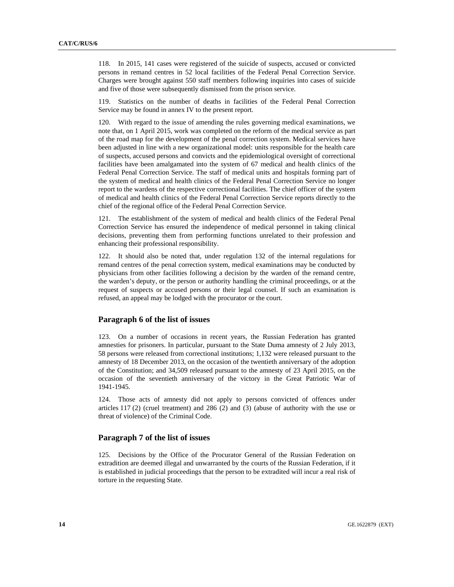118. In 2015, 141 cases were registered of the suicide of suspects, accused or convicted persons in remand centres in 52 local facilities of the Federal Penal Correction Service. Charges were brought against 550 staff members following inquiries into cases of suicide and five of those were subsequently dismissed from the prison service.

119. Statistics on the number of deaths in facilities of the Federal Penal Correction Service may be found in annex IV to the present report.

120. With regard to the issue of amending the rules governing medical examinations, we note that, on 1 April 2015, work was completed on the reform of the medical service as part of the road map for the development of the penal correction system. Medical services have been adjusted in line with a new organizational model: units responsible for the health care of suspects, accused persons and convicts and the epidemiological oversight of correctional facilities have been amalgamated into the system of 67 medical and health clinics of the Federal Penal Correction Service. The staff of medical units and hospitals forming part of the system of medical and health clinics of the Federal Penal Correction Service no longer report to the wardens of the respective correctional facilities. The chief officer of the system of medical and health clinics of the Federal Penal Correction Service reports directly to the chief of the regional office of the Federal Penal Correction Service.

121. The establishment of the system of medical and health clinics of the Federal Penal Correction Service has ensured the independence of medical personnel in taking clinical decisions, preventing them from performing functions unrelated to their profession and enhancing their professional responsibility.

122. It should also be noted that, under regulation 132 of the internal regulations for remand centres of the penal correction system, medical examinations may be conducted by physicians from other facilities following a decision by the warden of the remand centre, the warden's deputy, or the person or authority handling the criminal proceedings, or at the request of suspects or accused persons or their legal counsel. If such an examination is refused, an appeal may be lodged with the procurator or the court.

## **Paragraph 6 of the list of issues**

123. On a number of occasions in recent years, the Russian Federation has granted amnesties for prisoners. In particular, pursuant to the State Duma amnesty of 2 July 2013, 58 persons were released from correctional institutions; 1,132 were released pursuant to the amnesty of 18 December 2013, on the occasion of the twentieth anniversary of the adoption of the Constitution; and 34,509 released pursuant to the amnesty of 23 April 2015, on the occasion of the seventieth anniversary of the victory in the Great Patriotic War of 1941-1945.

124. Those acts of amnesty did not apply to persons convicted of offences under articles 117 (2) (cruel treatment) and 286 (2) and (3) (abuse of authority with the use or threat of violence) of the Criminal Code.

## **Paragraph 7 of the list of issues**

125. Decisions by the Office of the Procurator General of the Russian Federation on extradition are deemed illegal and unwarranted by the courts of the Russian Federation, if it is established in judicial proceedings that the person to be extradited will incur a real risk of torture in the requesting State.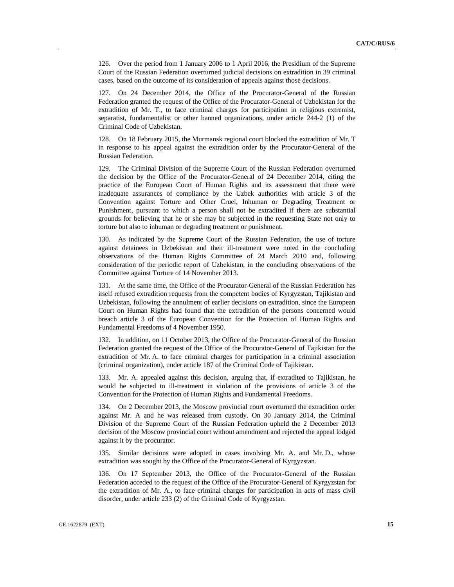126. Over the period from 1 January 2006 to 1 April 2016, the Presidium of the Supreme Court of the Russian Federation overturned judicial decisions on extradition in 39 criminal cases, based on the outcome of its consideration of appeals against those decisions.

127. On 24 December 2014, the Office of the Procurator-General of the Russian Federation granted the request of the Office of the Procurator-General of Uzbekistan for the extradition of Mr. T., to face criminal charges for participation in religious extremist, separatist, fundamentalist or other banned organizations, under article 244-2 (1) of the Criminal Code of Uzbekistan.

128. On 18 February 2015, the Murmansk regional court blocked the extradition of Mr. T in response to his appeal against the extradition order by the Procurator-General of the Russian Federation.

129. The Criminal Division of the Supreme Court of the Russian Federation overturned the decision by the Office of the Procurator-General of 24 December 2014, citing the practice of the European Court of Human Rights and its assessment that there were inadequate assurances of compliance by the Uzbek authorities with article 3 of the Convention against Torture and Other Cruel, Inhuman or Degrading Treatment or Punishment, pursuant to which a person shall not be extradited if there are substantial grounds for believing that he or she may be subjected in the requesting State not only to torture but also to inhuman or degrading treatment or punishment.

130. As indicated by the Supreme Court of the Russian Federation, the use of torture against detainees in Uzbekistan and their ill-treatment were noted in the concluding observations of the Human Rights Committee of 24 March 2010 and, following consideration of the periodic report of Uzbekistan, in the concluding observations of the Committee against Torture of 14 November 2013.

131. At the same time, the Office of the Procurator-General of the Russian Federation has itself refused extradition requests from the competent bodies of Kyrgyzstan, Tajikistan and Uzbekistan, following the annulment of earlier decisions on extradition, since the European Court on Human Rights had found that the extradition of the persons concerned would breach article 3 of the European Convention for the Protection of Human Rights and Fundamental Freedoms of 4 November 1950.

132. In addition, on 11 October 2013, the Office of the Procurator-General of the Russian Federation granted the request of the Office of the Procurator-General of Tajikistan for the extradition of Mr. A. to face criminal charges for participation in a criminal association (criminal organization), under article 187 of the Criminal Code of Tajikistan.

133. Mr. A. appealed against this decision, arguing that, if extradited to Tajikistan, he would be subjected to ill-treatment in violation of the provisions of article 3 of the Convention for the Protection of Human Rights and Fundamental Freedoms.

134. On 2 December 2013, the Moscow provincial court overturned the extradition order against Mr. A and he was released from custody. On 30 January 2014, the Criminal Division of the Supreme Court of the Russian Federation upheld the 2 December 2013 decision of the Moscow provincial court without amendment and rejected the appeal lodged against it by the procurator.

135. Similar decisions were adopted in cases involving Mr. A. and Mr. D., whose extradition was sought by the Office of the Procurator-General of Kyrgyzstan.

136. On 17 September 2013, the Office of the Procurator-General of the Russian Federation acceded to the request of the Office of the Procurator-General of Kyrgyzstan for the extradition of Mr. A., to face criminal charges for participation in acts of mass civil disorder, under article 233 (2) of the Criminal Code of Kyrgyzstan.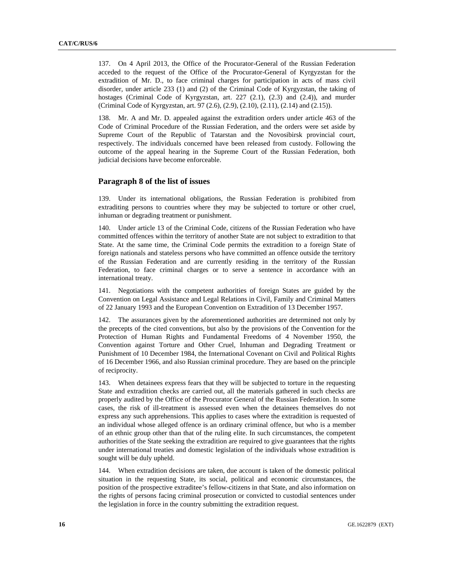137. On 4 April 2013, the Office of the Procurator-General of the Russian Federation acceded to the request of the Office of the Procurator-General of Kyrgyzstan for the extradition of Mr. D., to face criminal charges for participation in acts of mass civil disorder, under article 233 (1) and (2) of the Criminal Code of Kyrgyzstan, the taking of hostages (Criminal Code of Kyrgyzstan, art. 227 (2.1), (2.3) and (2.4)), and murder (Criminal Code of Kyrgyzstan, art. 97 (2.6), (2.9), (2.10), (2.11), (2.14) and (2.15)).

138. Mr. A and Mr. D. appealed against the extradition orders under article 463 of the Code of Criminal Procedure of the Russian Federation, and the orders were set aside by Supreme Court of the Republic of Tatarstan and the Novosibirsk provincial court, respectively. The individuals concerned have been released from custody. Following the outcome of the appeal hearing in the Supreme Court of the Russian Federation, both judicial decisions have become enforceable.

#### **Paragraph 8 of the list of issues**

139. Under its international obligations, the Russian Federation is prohibited from extraditing persons to countries where they may be subjected to torture or other cruel, inhuman or degrading treatment or punishment.

140. Under article 13 of the Criminal Code, citizens of the Russian Federation who have committed offences within the territory of another State are not subject to extradition to that State. At the same time, the Criminal Code permits the extradition to a foreign State of foreign nationals and stateless persons who have committed an offence outside the territory of the Russian Federation and are currently residing in the territory of the Russian Federation, to face criminal charges or to serve a sentence in accordance with an international treaty.

141. Negotiations with the competent authorities of foreign States are guided by the Convention on Legal Assistance and Legal Relations in Civil, Family and Criminal Matters of 22 January 1993 and the European Convention on Extradition of 13 December 1957.

142. The assurances given by the aforementioned authorities are determined not only by the precepts of the cited conventions, but also by the provisions of the Convention for the Protection of Human Rights and Fundamental Freedoms of 4 November 1950, the Convention against Torture and Other Cruel, Inhuman and Degrading Treatment or Punishment of 10 December 1984, the International Covenant on Civil and Political Rights of 16 December 1966, and also Russian criminal procedure. They are based on the principle of reciprocity.

143. When detainees express fears that they will be subjected to torture in the requesting State and extradition checks are carried out, all the materials gathered in such checks are properly audited by the Office of the Procurator General of the Russian Federation. In some cases, the risk of ill-treatment is assessed even when the detainees themselves do not express any such apprehensions. This applies to cases where the extradition is requested of an individual whose alleged offence is an ordinary criminal offence, but who is a member of an ethnic group other than that of the ruling elite. In such circumstances, the competent authorities of the State seeking the extradition are required to give guarantees that the rights under international treaties and domestic legislation of the individuals whose extradition is sought will be duly upheld.

144. When extradition decisions are taken, due account is taken of the domestic political situation in the requesting State, its social, political and economic circumstances, the position of the prospective extraditee's fellow-citizens in that State, and also information on the rights of persons facing criminal prosecution or convicted to custodial sentences under the legislation in force in the country submitting the extradition request.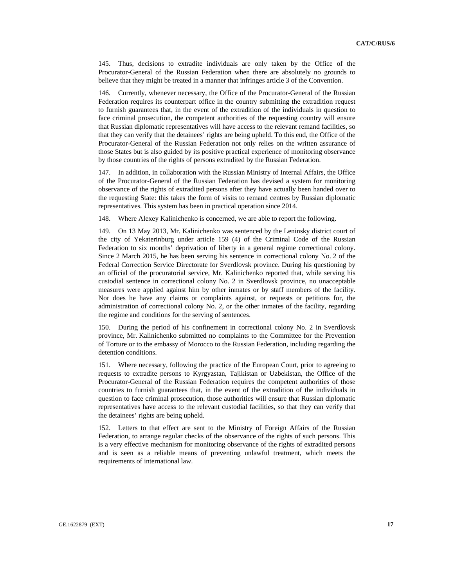145. Thus, decisions to extradite individuals are only taken by the Office of the Procurator-General of the Russian Federation when there are absolutely no grounds to believe that they might be treated in a manner that infringes article 3 of the Convention.

146. Currently, whenever necessary, the Office of the Procurator-General of the Russian Federation requires its counterpart office in the country submitting the extradition request to furnish guarantees that, in the event of the extradition of the individuals in question to face criminal prosecution, the competent authorities of the requesting country will ensure that Russian diplomatic representatives will have access to the relevant remand facilities, so that they can verify that the detainees' rights are being upheld. To this end, the Office of the Procurator-General of the Russian Federation not only relies on the written assurance of those States but is also guided by its positive practical experience of monitoring observance by those countries of the rights of persons extradited by the Russian Federation.

147. In addition, in collaboration with the Russian Ministry of Internal Affairs, the Office of the Procurator-General of the Russian Federation has devised a system for monitoring observance of the rights of extradited persons after they have actually been handed over to the requesting State: this takes the form of visits to remand centres by Russian diplomatic representatives. This system has been in practical operation since 2014.

148. Where Alexey Kalinichenko is concerned, we are able to report the following.

149. On 13 May 2013, Mr. Kalinichenko was sentenced by the Leninsky district court of the city of Yekaterinburg under article 159 (4) of the Criminal Code of the Russian Federation to six months' deprivation of liberty in a general regime correctional colony. Since 2 March 2015, he has been serving his sentence in correctional colony No. 2 of the Federal Correction Service Directorate for Sverdlovsk province. During his questioning by an official of the procuratorial service, Mr. Kalinichenko reported that, while serving his custodial sentence in correctional colony No. 2 in Sverdlovsk province, no unacceptable measures were applied against him by other inmates or by staff members of the facility. Nor does he have any claims or complaints against, or requests or petitions for, the administration of correctional colony No. 2, or the other inmates of the facility, regarding the regime and conditions for the serving of sentences.

150. During the period of his confinement in correctional colony No. 2 in Sverdlovsk province, Mr. Kalinichenko submitted no complaints to the Committee for the Prevention of Torture or to the embassy of Morocco to the Russian Federation, including regarding the detention conditions.

151. Where necessary, following the practice of the European Court, prior to agreeing to requests to extradite persons to Kyrgyzstan, Tajikistan or Uzbekistan, the Office of the Procurator-General of the Russian Federation requires the competent authorities of those countries to furnish guarantees that, in the event of the extradition of the individuals in question to face criminal prosecution, those authorities will ensure that Russian diplomatic representatives have access to the relevant custodial facilities, so that they can verify that the detainees' rights are being upheld.

152. Letters to that effect are sent to the Ministry of Foreign Affairs of the Russian Federation, to arrange regular checks of the observance of the rights of such persons. This is a very effective mechanism for monitoring observance of the rights of extradited persons and is seen as a reliable means of preventing unlawful treatment, which meets the requirements of international law.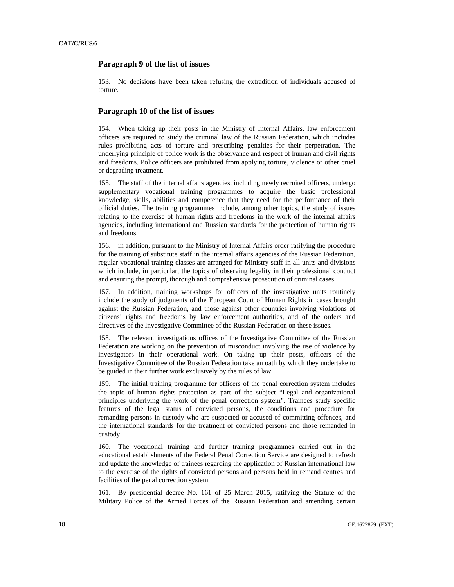## **Paragraph 9 of the list of issues**

153. No decisions have been taken refusing the extradition of individuals accused of torture.

## **Paragraph 10 of the list of issues**

154. When taking up their posts in the Ministry of Internal Affairs, law enforcement officers are required to study the criminal law of the Russian Federation, which includes rules prohibiting acts of torture and prescribing penalties for their perpetration. The underlying principle of police work is the observance and respect of human and civil rights and freedoms. Police officers are prohibited from applying torture, violence or other cruel or degrading treatment.

155. The staff of the internal affairs agencies, including newly recruited officers, undergo supplementary vocational training programmes to acquire the basic professional knowledge, skills, abilities and competence that they need for the performance of their official duties. The training programmes include, among other topics, the study of issues relating to the exercise of human rights and freedoms in the work of the internal affairs agencies, including international and Russian standards for the protection of human rights and freedoms.

156. in addition, pursuant to the Ministry of Internal Affairs order ratifying the procedure for the training of substitute staff in the internal affairs agencies of the Russian Federation, regular vocational training classes are arranged for Ministry staff in all units and divisions which include, in particular, the topics of observing legality in their professional conduct and ensuring the prompt, thorough and comprehensive prosecution of criminal cases.

157. In addition, training workshops for officers of the investigative units routinely include the study of judgments of the European Court of Human Rights in cases brought against the Russian Federation, and those against other countries involving violations of citizens' rights and freedoms by law enforcement authorities, and of the orders and directives of the Investigative Committee of the Russian Federation on these issues.

158. The relevant investigations offices of the Investigative Committee of the Russian Federation are working on the prevention of misconduct involving the use of violence by investigators in their operational work. On taking up their posts, officers of the Investigative Committee of the Russian Federation take an oath by which they undertake to be guided in their further work exclusively by the rules of law.

159. The initial training programme for officers of the penal correction system includes the topic of human rights protection as part of the subject "Legal and organizational principles underlying the work of the penal correction system". Trainees study specific features of the legal status of convicted persons, the conditions and procedure for remanding persons in custody who are suspected or accused of committing offences, and the international standards for the treatment of convicted persons and those remanded in custody.

160. The vocational training and further training programmes carried out in the educational establishments of the Federal Penal Correction Service are designed to refresh and update the knowledge of trainees regarding the application of Russian international law to the exercise of the rights of convicted persons and persons held in remand centres and facilities of the penal correction system.

161. By presidential decree No. 161 of 25 March 2015, ratifying the Statute of the Military Police of the Armed Forces of the Russian Federation and amending certain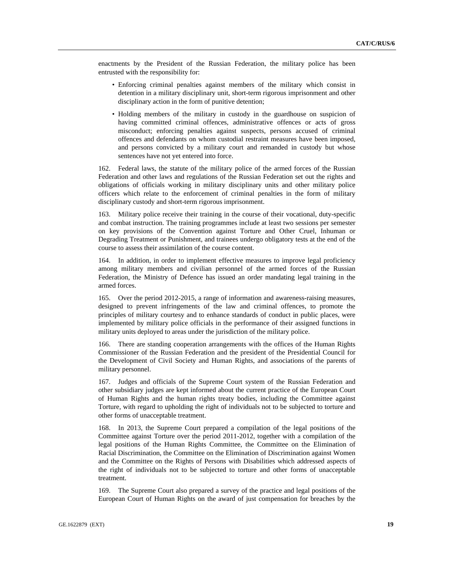enactments by the President of the Russian Federation, the military police has been entrusted with the responsibility for:

- Enforcing criminal penalties against members of the military which consist in detention in a military disciplinary unit, short-term rigorous imprisonment and other disciplinary action in the form of punitive detention;
- Holding members of the military in custody in the guardhouse on suspicion of having committed criminal offences, administrative offences or acts of gross misconduct; enforcing penalties against suspects, persons accused of criminal offences and defendants on whom custodial restraint measures have been imposed, and persons convicted by a military court and remanded in custody but whose sentences have not yet entered into force.

162. Federal laws, the statute of the military police of the armed forces of the Russian Federation and other laws and regulations of the Russian Federation set out the rights and obligations of officials working in military disciplinary units and other military police officers which relate to the enforcement of criminal penalties in the form of military disciplinary custody and short-term rigorous imprisonment.

163. Military police receive their training in the course of their vocational, duty-specific and combat instruction. The training programmes include at least two sessions per semester on key provisions of the Convention against Torture and Other Cruel, Inhuman or Degrading Treatment or Punishment, and trainees undergo obligatory tests at the end of the course to assess their assimilation of the course content.

164. In addition, in order to implement effective measures to improve legal proficiency among military members and civilian personnel of the armed forces of the Russian Federation, the Ministry of Defence has issued an order mandating legal training in the armed forces.

165. Over the period 2012-2015, a range of information and awareness-raising measures, designed to prevent infringements of the law and criminal offences, to promote the principles of military courtesy and to enhance standards of conduct in public places, were implemented by military police officials in the performance of their assigned functions in military units deployed to areas under the jurisdiction of the military police.

166. There are standing cooperation arrangements with the offices of the Human Rights Commissioner of the Russian Federation and the president of the Presidential Council for the Development of Civil Society and Human Rights, and associations of the parents of military personnel.

167. Judges and officials of the Supreme Court system of the Russian Federation and other subsidiary judges are kept informed about the current practice of the European Court of Human Rights and the human rights treaty bodies, including the Committee against Torture, with regard to upholding the right of individuals not to be subjected to torture and other forms of unacceptable treatment.

168. In 2013, the Supreme Court prepared a compilation of the legal positions of the Committee against Torture over the period 2011-2012, together with a compilation of the legal positions of the Human Rights Committee, the Committee on the Elimination of Racial Discrimination, the Committee on the Elimination of Discrimination against Women and the Committee on the Rights of Persons with Disabilities which addressed aspects of the right of individuals not to be subjected to torture and other forms of unacceptable treatment.

169. The Supreme Court also prepared a survey of the practice and legal positions of the European Court of Human Rights on the award of just compensation for breaches by the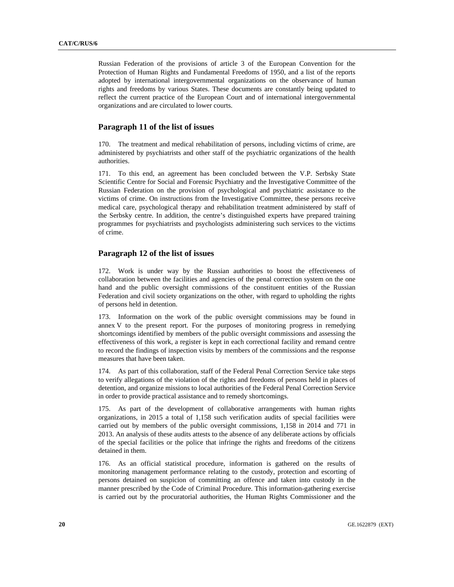Russian Federation of the provisions of article 3 of the European Convention for the Protection of Human Rights and Fundamental Freedoms of 1950, and a list of the reports adopted by international intergovernmental organizations on the observance of human rights and freedoms by various States. These documents are constantly being updated to reflect the current practice of the European Court and of international intergovernmental organizations and are circulated to lower courts.

## **Paragraph 11 of the list of issues**

170. The treatment and medical rehabilitation of persons, including victims of crime, are administered by psychiatrists and other staff of the psychiatric organizations of the health authorities.

171. To this end, an agreement has been concluded between the V.P. Serbsky State Scientific Centre for Social and Forensic Psychiatry and the Investigative Committee of the Russian Federation on the provision of psychological and psychiatric assistance to the victims of crime. On instructions from the Investigative Committee, these persons receive medical care, psychological therapy and rehabilitation treatment administered by staff of the Serbsky centre. In addition, the centre's distinguished experts have prepared training programmes for psychiatrists and psychologists administering such services to the victims of crime.

## **Paragraph 12 of the list of issues**

172. Work is under way by the Russian authorities to boost the effectiveness of collaboration between the facilities and agencies of the penal correction system on the one hand and the public oversight commissions of the constituent entities of the Russian Federation and civil society organizations on the other, with regard to upholding the rights of persons held in detention.

173. Information on the work of the public oversight commissions may be found in annex V to the present report. For the purposes of monitoring progress in remedying shortcomings identified by members of the public oversight commissions and assessing the effectiveness of this work, a register is kept in each correctional facility and remand centre to record the findings of inspection visits by members of the commissions and the response measures that have been taken.

174. As part of this collaboration, staff of the Federal Penal Correction Service take steps to verify allegations of the violation of the rights and freedoms of persons held in places of detention, and organize missions to local authorities of the Federal Penal Correction Service in order to provide practical assistance and to remedy shortcomings.

175. As part of the development of collaborative arrangements with human rights organizations, in 2015 a total of 1,158 such verification audits of special facilities were carried out by members of the public oversight commissions, 1,158 in 2014 and 771 in 2013. An analysis of these audits attests to the absence of any deliberate actions by officials of the special facilities or the police that infringe the rights and freedoms of the citizens detained in them.

176. As an official statistical procedure, information is gathered on the results of monitoring management performance relating to the custody, protection and escorting of persons detained on suspicion of committing an offence and taken into custody in the manner prescribed by the Code of Criminal Procedure. This information-gathering exercise is carried out by the procuratorial authorities, the Human Rights Commissioner and the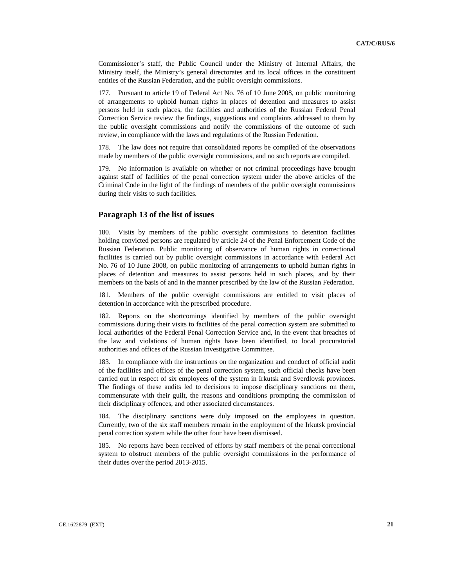Commissioner's staff, the Public Council under the Ministry of Internal Affairs, the Ministry itself, the Ministry's general directorates and its local offices in the constituent entities of the Russian Federation, and the public oversight commissions.

177. Pursuant to article 19 of Federal Act No. 76 of 10 June 2008, on public monitoring of arrangements to uphold human rights in places of detention and measures to assist persons held in such places, the facilities and authorities of the Russian Federal Penal Correction Service review the findings, suggestions and complaints addressed to them by the public oversight commissions and notify the commissions of the outcome of such review, in compliance with the laws and regulations of the Russian Federation.

178. The law does not require that consolidated reports be compiled of the observations made by members of the public oversight commissions, and no such reports are compiled.

179. No information is available on whether or not criminal proceedings have brought against staff of facilities of the penal correction system under the above articles of the Criminal Code in the light of the findings of members of the public oversight commissions during their visits to such facilities.

#### **Paragraph 13 of the list of issues**

180. Visits by members of the public oversight commissions to detention facilities holding convicted persons are regulated by article 24 of the Penal Enforcement Code of the Russian Federation. Public monitoring of observance of human rights in correctional facilities is carried out by public oversight commissions in accordance with Federal Act No. 76 of 10 June 2008, on public monitoring of arrangements to uphold human rights in places of detention and measures to assist persons held in such places, and by their members on the basis of and in the manner prescribed by the law of the Russian Federation.

181. Members of the public oversight commissions are entitled to visit places of detention in accordance with the prescribed procedure.

182. Reports on the shortcomings identified by members of the public oversight commissions during their visits to facilities of the penal correction system are submitted to local authorities of the Federal Penal Correction Service and, in the event that breaches of the law and violations of human rights have been identified, to local procuratorial authorities and offices of the Russian Investigative Committee.

183. In compliance with the instructions on the organization and conduct of official audit of the facilities and offices of the penal correction system, such official checks have been carried out in respect of six employees of the system in Irkutsk and Sverdlovsk provinces. The findings of these audits led to decisions to impose disciplinary sanctions on them, commensurate with their guilt, the reasons and conditions prompting the commission of their disciplinary offences, and other associated circumstances.

184. The disciplinary sanctions were duly imposed on the employees in question. Currently, two of the six staff members remain in the employment of the Irkutsk provincial penal correction system while the other four have been dismissed.

185. No reports have been received of efforts by staff members of the penal correctional system to obstruct members of the public oversight commissions in the performance of their duties over the period 2013-2015.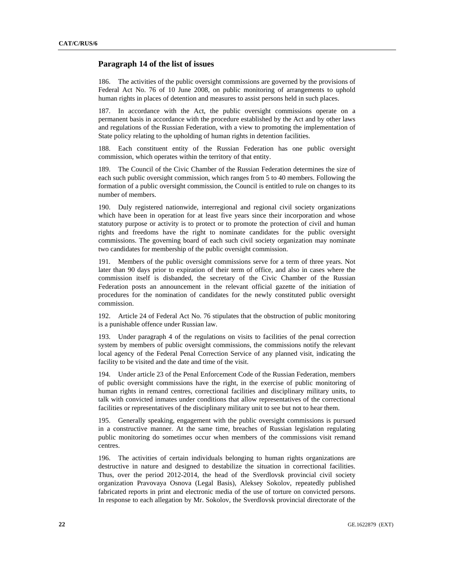#### **Paragraph 14 of the list of issues**

186. The activities of the public oversight commissions are governed by the provisions of Federal Act No. 76 of 10 June 2008, on public monitoring of arrangements to uphold human rights in places of detention and measures to assist persons held in such places.

187. In accordance with the Act, the public oversight commissions operate on a permanent basis in accordance with the procedure established by the Act and by other laws and regulations of the Russian Federation, with a view to promoting the implementation of State policy relating to the upholding of human rights in detention facilities.

188. Each constituent entity of the Russian Federation has one public oversight commission, which operates within the territory of that entity.

189. The Council of the Civic Chamber of the Russian Federation determines the size of each such public oversight commission, which ranges from 5 to 40 members. Following the formation of a public oversight commission, the Council is entitled to rule on changes to its number of members.

190. Duly registered nationwide, interregional and regional civil society organizations which have been in operation for at least five years since their incorporation and whose statutory purpose or activity is to protect or to promote the protection of civil and human rights and freedoms have the right to nominate candidates for the public oversight commissions. The governing board of each such civil society organization may nominate two candidates for membership of the public oversight commission.

191. Members of the public oversight commissions serve for a term of three years. Not later than 90 days prior to expiration of their term of office, and also in cases where the commission itself is disbanded, the secretary of the Civic Chamber of the Russian Federation posts an announcement in the relevant official gazette of the initiation of procedures for the nomination of candidates for the newly constituted public oversight commission.

192. Article 24 of Federal Act No. 76 stipulates that the obstruction of public monitoring is a punishable offence under Russian law.

193. Under paragraph 4 of the regulations on visits to facilities of the penal correction system by members of public oversight commissions, the commissions notify the relevant local agency of the Federal Penal Correction Service of any planned visit, indicating the facility to be visited and the date and time of the visit.

194. Under article 23 of the Penal Enforcement Code of the Russian Federation, members of public oversight commissions have the right, in the exercise of public monitoring of human rights in remand centres, correctional facilities and disciplinary military units, to talk with convicted inmates under conditions that allow representatives of the correctional facilities or representatives of the disciplinary military unit to see but not to hear them.

195. Generally speaking, engagement with the public oversight commissions is pursued in a constructive manner. At the same time, breaches of Russian legislation regulating public monitoring do sometimes occur when members of the commissions visit remand centres.

196. The activities of certain individuals belonging to human rights organizations are destructive in nature and designed to destabilize the situation in correctional facilities. Thus, over the period 2012-2014, the head of the Sverdlovsk provincial civil society organization Pravovaya Osnova (Legal Basis), Aleksey Sokolov, repeatedly published fabricated reports in print and electronic media of the use of torture on convicted persons. In response to each allegation by Mr. Sokolov, the Sverdlovsk provincial directorate of the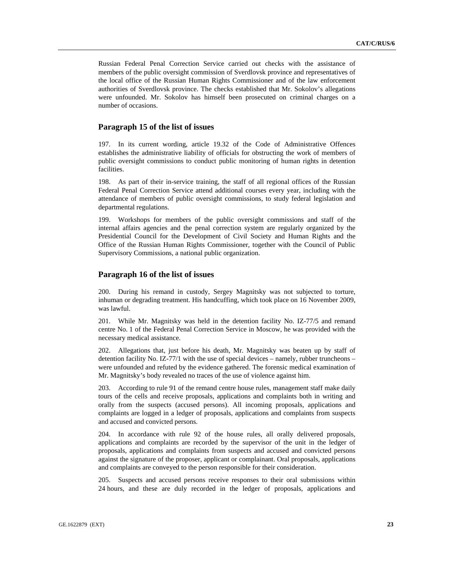Russian Federal Penal Correction Service carried out checks with the assistance of members of the public oversight commission of Sverdlovsk province and representatives of the local office of the Russian Human Rights Commissioner and of the law enforcement authorities of Sverdlovsk province. The checks established that Mr. Sokolov's allegations were unfounded. Mr. Sokolov has himself been prosecuted on criminal charges on a number of occasions.

## **Paragraph 15 of the list of issues**

197. In its current wording, article 19.32 of the Code of Administrative Offences establishes the administrative liability of officials for obstructing the work of members of public oversight commissions to conduct public monitoring of human rights in detention facilities.

198. As part of their in-service training, the staff of all regional offices of the Russian Federal Penal Correction Service attend additional courses every year, including with the attendance of members of public oversight commissions, to study federal legislation and departmental regulations.

199. Workshops for members of the public oversight commissions and staff of the internal affairs agencies and the penal correction system are regularly organized by the Presidential Council for the Development of Civil Society and Human Rights and the Office of the Russian Human Rights Commissioner, together with the Council of Public Supervisory Commissions, a national public organization.

## **Paragraph 16 of the list of issues**

200. During his remand in custody, Sergey Magnitsky was not subjected to torture, inhuman or degrading treatment. His handcuffing, which took place on 16 November 2009, was lawful.

201. While Mr. Magnitsky was held in the detention facility No. IZ-77/5 and remand centre No. 1 of the Federal Penal Correction Service in Moscow, he was provided with the necessary medical assistance.

202. Allegations that, just before his death, Mr. Magnitsky was beaten up by staff of detention facility No. IZ-77/1 with the use of special devices – namely, rubber truncheons – were unfounded and refuted by the evidence gathered. The forensic medical examination of Mr. Magnitsky's body revealed no traces of the use of violence against him.

203. According to rule 91 of the remand centre house rules, management staff make daily tours of the cells and receive proposals, applications and complaints both in writing and orally from the suspects (accused persons). All incoming proposals, applications and complaints are logged in a ledger of proposals, applications and complaints from suspects and accused and convicted persons.

204. In accordance with rule 92 of the house rules, all orally delivered proposals, applications and complaints are recorded by the supervisor of the unit in the ledger of proposals, applications and complaints from suspects and accused and convicted persons against the signature of the proposer, applicant or complainant. Oral proposals, applications and complaints are conveyed to the person responsible for their consideration.

205. Suspects and accused persons receive responses to their oral submissions within 24 hours, and these are duly recorded in the ledger of proposals, applications and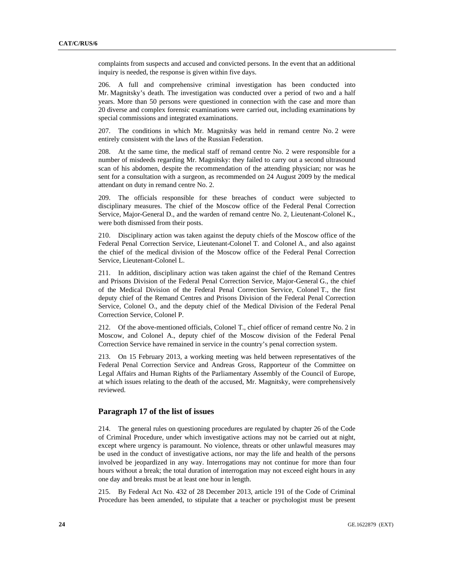complaints from suspects and accused and convicted persons. In the event that an additional inquiry is needed, the response is given within five days.

206. A full and comprehensive criminal investigation has been conducted into Mr. Magnitsky's death. The investigation was conducted over a period of two and a half years. More than 50 persons were questioned in connection with the case and more than 20 diverse and complex forensic examinations were carried out, including examinations by special commissions and integrated examinations.

207. The conditions in which Mr. Magnitsky was held in remand centre No. 2 were entirely consistent with the laws of the Russian Federation.

208. At the same time, the medical staff of remand centre No. 2 were responsible for a number of misdeeds regarding Mr. Magnitsky: they failed to carry out a second ultrasound scan of his abdomen, despite the recommendation of the attending physician; nor was he sent for a consultation with a surgeon, as recommended on 24 August 2009 by the medical attendant on duty in remand centre No. 2.

209. The officials responsible for these breaches of conduct were subjected to disciplinary measures. The chief of the Moscow office of the Federal Penal Correction Service, Major-General D., and the warden of remand centre No. 2, Lieutenant-Colonel K., were both dismissed from their posts.

210. Disciplinary action was taken against the deputy chiefs of the Moscow office of the Federal Penal Correction Service, Lieutenant-Colonel T. and Colonel A., and also against the chief of the medical division of the Moscow office of the Federal Penal Correction Service, Lieutenant-Colonel L.

211. In addition, disciplinary action was taken against the chief of the Remand Centres and Prisons Division of the Federal Penal Correction Service, Major-General G., the chief of the Medical Division of the Federal Penal Correction Service, Colonel T., the first deputy chief of the Remand Centres and Prisons Division of the Federal Penal Correction Service, Colonel O., and the deputy chief of the Medical Division of the Federal Penal Correction Service, Colonel P.

212. Of the above-mentioned officials, Colonel T., chief officer of remand centre No. 2 in Moscow, and Colonel A., deputy chief of the Moscow division of the Federal Penal Correction Service have remained in service in the country's penal correction system.

213. On 15 February 2013, a working meeting was held between representatives of the Federal Penal Correction Service and Andreas Gross, Rapporteur of the Committee on Legal Affairs and Human Rights of the Parliamentary Assembly of the Council of Europe, at which issues relating to the death of the accused, Mr. Magnitsky, were comprehensively reviewed.

## **Paragraph 17 of the list of issues**

214. The general rules on questioning procedures are regulated by chapter 26 of the Code of Criminal Procedure, under which investigative actions may not be carried out at night, except where urgency is paramount. No violence, threats or other unlawful measures may be used in the conduct of investigative actions, nor may the life and health of the persons involved be jeopardized in any way. Interrogations may not continue for more than four hours without a break; the total duration of interrogation may not exceed eight hours in any one day and breaks must be at least one hour in length.

215. By Federal Act No. 432 of 28 December 2013, article 191 of the Code of Criminal Procedure has been amended, to stipulate that a teacher or psychologist must be present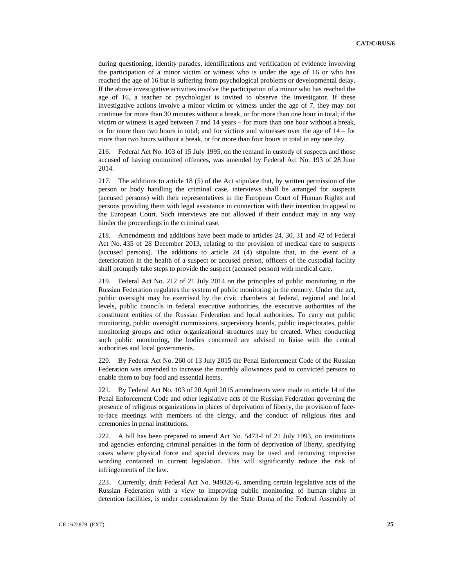during questioning, identity parades, identifications and verification of evidence involving the participation of a minor victim or witness who is under the age of 16 or who has reached the age of 16 but is suffering from psychological problems or developmental delay. If the above investigative activities involve the participation of a minor who has reached the age of 16, a teacher or psychologist is invited to observe the investigator. If these investigative actions involve a minor victim or witness under the age of 7, they may not continue for more than 30 minutes without a break, or for more than one hour in total; if the victim or witness is aged between 7 and 14 years – for more than one hour without a break, or for more than two hours in total; and for victims and witnesses over the age of 14 – for more than two hours without a break, or for more than four hours in total in any one day.

216. Federal Act No. 103 of 15 July 1995, on the remand in custody of suspects and those accused of having committed offences, was amended by Federal Act No. 193 of 28 June 2014.

217. The additions to article 18 (5) of the Act stipulate that, by written permission of the person or body handling the criminal case, interviews shall be arranged for suspects (accused persons) with their representatives in the European Court of Human Rights and persons providing them with legal assistance in connection with their intention to appeal to the European Court. Such interviews are not allowed if their conduct may in any way hinder the proceedings in the criminal case.

218. Amendments and additions have been made to articles 24, 30, 31 and 42 of Federal Act No. 435 of 28 December 2013, relating to the provision of medical care to suspects (accused persons). The additions to article 24 (4) stipulate that, in the event of a deterioration in the health of a suspect or accused person, officers of the custodial facility shall promptly take steps to provide the suspect (accused person) with medical care.

219. Federal Act No. 212 of 21 July 2014 on the principles of public monitoring in the Russian Federation regulates the system of public monitoring in the country. Under the act, public oversight may be exercised by the civic chambers at federal, regional and local levels, public councils in federal executive authorities, the executive authorities of the constituent entities of the Russian Federation and local authorities. To carry out public monitoring, public oversight commissions, supervisory boards, public inspectorates, public monitoring groups and other organizational structures may be created. When conducting such public monitoring, the bodies concerned are advised to liaise with the central authorities and local governments.

220. By Federal Act No. 260 of 13 July 2015 the Penal Enforcement Code of the Russian Federation was amended to increase the monthly allowances paid to convicted persons to enable them to buy food and essential items.

221. By Federal Act No. 103 of 20 April 2015 amendments were made to article 14 of the Penal Enforcement Code and other legislative acts of the Russian Federation governing the presence of religious organizations in places of deprivation of liberty, the provision of faceto-face meetings with members of the clergy, and the conduct of religious rites and ceremonies in penal institutions.

222. A bill has been prepared to amend Act No. 5473-I of 21 July 1993, on institutions and agencies enforcing criminal penalties in the form of deprivation of liberty, specifying cases where physical force and special devices may be used and removing imprecise wording contained in current legislation. This will significantly reduce the risk of infringements of the law.

223. Currently, draft Federal Act No. 949326-6, amending certain legislative acts of the Russian Federation with a view to improving public monitoring of human rights in detention facilities, is under consideration by the State Duma of the Federal Assembly of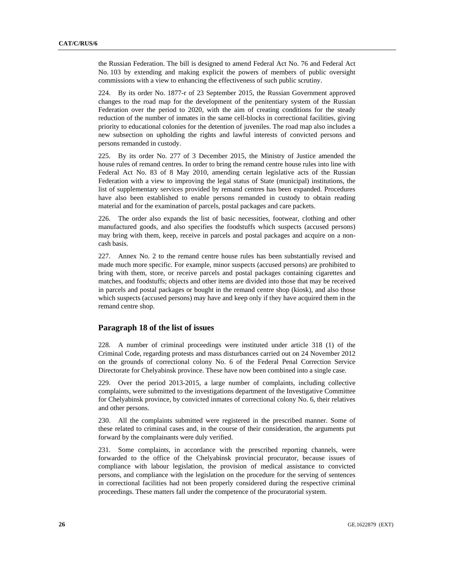the Russian Federation. The bill is designed to amend Federal Act No. 76 and Federal Act No. 103 by extending and making explicit the powers of members of public oversight commissions with a view to enhancing the effectiveness of such public scrutiny.

224. By its order No. 1877-r of 23 September 2015, the Russian Government approved changes to the road map for the development of the penitentiary system of the Russian Federation over the period to 2020, with the aim of creating conditions for the steady reduction of the number of inmates in the same cell-blocks in correctional facilities, giving priority to educational colonies for the detention of juveniles. The road map also includes a new subsection on upholding the rights and lawful interests of convicted persons and persons remanded in custody.

225. By its order No. 277 of 3 December 2015, the Ministry of Justice amended the house rules of remand centres. In order to bring the remand centre house rules into line with Federal Act No. 83 of 8 May 2010, amending certain legislative acts of the Russian Federation with a view to improving the legal status of State (municipal) institutions, the list of supplementary services provided by remand centres has been expanded. Procedures have also been established to enable persons remanded in custody to obtain reading material and for the examination of parcels, postal packages and care packets.

226. The order also expands the list of basic necessities, footwear, clothing and other manufactured goods, and also specifies the foodstuffs which suspects (accused persons) may bring with them, keep, receive in parcels and postal packages and acquire on a noncash basis.

227. Annex No. 2 to the remand centre house rules has been substantially revised and made much more specific. For example, minor suspects (accused persons) are prohibited to bring with them, store, or receive parcels and postal packages containing cigarettes and matches, and foodstuffs; objects and other items are divided into those that may be received in parcels and postal packages or bought in the remand centre shop (kiosk), and also those which suspects (accused persons) may have and keep only if they have acquired them in the remand centre shop.

## **Paragraph 18 of the list of issues**

228. A number of criminal proceedings were instituted under article 318 (1) of the Criminal Code, regarding protests and mass disturbances carried out on 24 November 2012 on the grounds of correctional colony No. 6 of the Federal Penal Correction Service Directorate for Chelyabinsk province. These have now been combined into a single case.

229. Over the period 2013-2015, a large number of complaints, including collective complaints, were submitted to the investigations department of the Investigative Committee for Chelyabinsk province, by convicted inmates of correctional colony No. 6, their relatives and other persons.

230. All the complaints submitted were registered in the prescribed manner. Some of these related to criminal cases and, in the course of their consideration, the arguments put forward by the complainants were duly verified.

231. Some complaints, in accordance with the prescribed reporting channels, were forwarded to the office of the Chelyabinsk provincial procurator, because issues of compliance with labour legislation, the provision of medical assistance to convicted persons, and compliance with the legislation on the procedure for the serving of sentences in correctional facilities had not been properly considered during the respective criminal proceedings. These matters fall under the competence of the procuratorial system.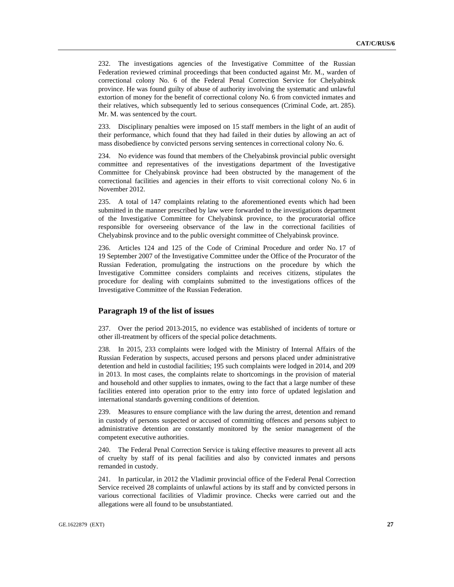232. The investigations agencies of the Investigative Committee of the Russian Federation reviewed criminal proceedings that been conducted against Mr. M., warden of correctional colony No. 6 of the Federal Penal Correction Service for Chelyabinsk province. He was found guilty of abuse of authority involving the systematic and unlawful extortion of money for the benefit of correctional colony No. 6 from convicted inmates and their relatives, which subsequently led to serious consequences (Criminal Code, art. 285). Mr. M. was sentenced by the court.

233. Disciplinary penalties were imposed on 15 staff members in the light of an audit of their performance, which found that they had failed in their duties by allowing an act of mass disobedience by convicted persons serving sentences in correctional colony No. 6.

234. No evidence was found that members of the Chelyabinsk provincial public oversight committee and representatives of the investigations department of the Investigative Committee for Chelyabinsk province had been obstructed by the management of the correctional facilities and agencies in their efforts to visit correctional colony No. 6 in November 2012.

235. A total of 147 complaints relating to the aforementioned events which had been submitted in the manner prescribed by law were forwarded to the investigations department of the Investigative Committee for Chelyabinsk province, to the procuratorial office responsible for overseeing observance of the law in the correctional facilities of Chelyabinsk province and to the public oversight committee of Chelyabinsk province.

236. Articles 124 and 125 of the Code of Criminal Procedure and order No. 17 of 19 September 2007 of the Investigative Committee under the Office of the Procurator of the Russian Federation, promulgating the instructions on the procedure by which the Investigative Committee considers complaints and receives citizens, stipulates the procedure for dealing with complaints submitted to the investigations offices of the Investigative Committee of the Russian Federation.

## **Paragraph 19 of the list of issues**

237. Over the period 2013-2015, no evidence was established of incidents of torture or other ill-treatment by officers of the special police detachments.

238. In 2015, 233 complaints were lodged with the Ministry of Internal Affairs of the Russian Federation by suspects, accused persons and persons placed under administrative detention and held in custodial facilities; 195 such complaints were lodged in 2014, and 209 in 2013. In most cases, the complaints relate to shortcomings in the provision of material and household and other supplies to inmates, owing to the fact that a large number of these facilities entered into operation prior to the entry into force of updated legislation and international standards governing conditions of detention.

239. Measures to ensure compliance with the law during the arrest, detention and remand in custody of persons suspected or accused of committing offences and persons subject to administrative detention are constantly monitored by the senior management of the competent executive authorities.

240. The Federal Penal Correction Service is taking effective measures to prevent all acts of cruelty by staff of its penal facilities and also by convicted inmates and persons remanded in custody.

241. In particular, in 2012 the Vladimir provincial office of the Federal Penal Correction Service received 28 complaints of unlawful actions by its staff and by convicted persons in various correctional facilities of Vladimir province. Checks were carried out and the allegations were all found to be unsubstantiated.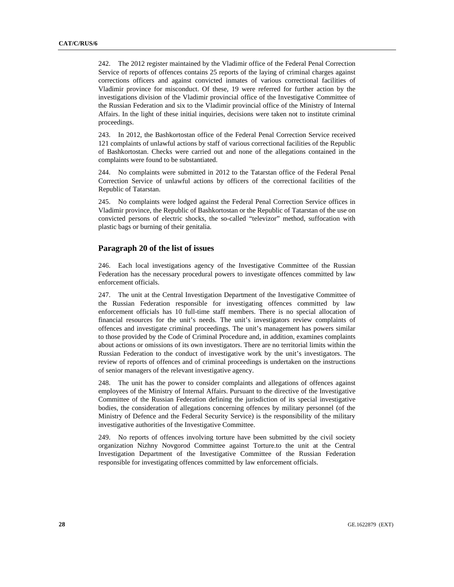242. The 2012 register maintained by the Vladimir office of the Federal Penal Correction Service of reports of offences contains 25 reports of the laying of criminal charges against corrections officers and against convicted inmates of various correctional facilities of Vladimir province for misconduct. Of these, 19 were referred for further action by the investigations division of the Vladimir provincial office of the Investigative Committee of the Russian Federation and six to the Vladimir provincial office of the Ministry of Internal Affairs. In the light of these initial inquiries, decisions were taken not to institute criminal proceedings.

243. In 2012, the Bashkortostan office of the Federal Penal Correction Service received 121 complaints of unlawful actions by staff of various correctional facilities of the Republic of Bashkortostan. Checks were carried out and none of the allegations contained in the complaints were found to be substantiated.

244. No complaints were submitted in 2012 to the Tatarstan office of the Federal Penal Correction Service of unlawful actions by officers of the correctional facilities of the Republic of Tatarstan.

245. No complaints were lodged against the Federal Penal Correction Service offices in Vladimir province, the Republic of Bashkortostan or the Republic of Tatarstan of the use on convicted persons of electric shocks, the so-called "televizor" method, suffocation with plastic bags or burning of their genitalia.

## **Paragraph 20 of the list of issues**

246. Each local investigations agency of the Investigative Committee of the Russian Federation has the necessary procedural powers to investigate offences committed by law enforcement officials.

247. The unit at the Central Investigation Department of the Investigative Committee of the Russian Federation responsible for investigating offences committed by law enforcement officials has 10 full-time staff members. There is no special allocation of financial resources for the unit's needs. The unit's investigators review complaints of offences and investigate criminal proceedings. The unit's management has powers similar to those provided by the Code of Criminal Procedure and, in addition, examines complaints about actions or omissions of its own investigators. There are no territorial limits within the Russian Federation to the conduct of investigative work by the unit's investigators. The review of reports of offences and of criminal proceedings is undertaken on the instructions of senior managers of the relevant investigative agency.

248. The unit has the power to consider complaints and allegations of offences against employees of the Ministry of Internal Affairs. Pursuant to the directive of the Investigative Committee of the Russian Federation defining the jurisdiction of its special investigative bodies, the consideration of allegations concerning offences by military personnel (of the Ministry of Defence and the Federal Security Service) is the responsibility of the military investigative authorities of the Investigative Committee.

249. No reports of offences involving torture have been submitted by the civil society organization Nizhny Novgorod Committee against Torture.to the unit at the Central Investigation Department of the Investigative Committee of the Russian Federation responsible for investigating offences committed by law enforcement officials.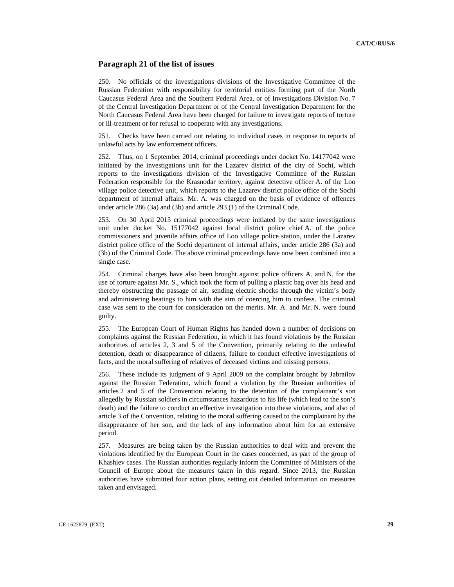#### **Paragraph 21 of the list of issues**

250. No officials of the investigations divisions of the Investigative Committee of the Russian Federation with responsibility for territorial entities forming part of the North Caucasus Federal Area and the Southern Federal Area, or of Investigations Division No. 7 of the Central Investigation Department or of the Central Investigation Department for the North Caucasus Federal Area have been charged for failure to investigate reports of torture or ill-treatment or for refusal to cooperate with any investigations.

251. Checks have been carried out relating to individual cases in response to reports of unlawful acts by law enforcement officers.

252. Thus, on 1 September 2014, criminal proceedings under docket No. 14177042 were initiated by the investigations unit for the Lazarev district of the city of Sochi, which reports to the investigations division of the Investigative Committee of the Russian Federation responsible for the Krasnodar territory, against detective officer A. of the Loo village police detective unit, which reports to the Lazarev district police office of the Sochi department of internal affairs. Mr. A. was charged on the basis of evidence of offences under article 286 (3a) and (3b) and article 293 (1) of the Criminal Code.

253. On 30 April 2015 criminal proceedings were initiated by the same investigations unit under docket No. 15177042 against local district police chief A. of the police commissioners and juvenile affairs office of Loo village police station, under the Lazarev district police office of the Sochi department of internal affairs, under article 286 (3a) and (3b) of the Criminal Code. The above criminal proceedings have now been combined into a single case.

254. Criminal charges have also been brought against police officers A. and N. for the use of torture against Mr. S., which took the form of pulling a plastic bag over his head and thereby obstructing the passage of air, sending electric shocks through the victim's body and administering beatings to him with the aim of coercing him to confess. The criminal case was sent to the court for consideration on the merits. Mr. A. and Mr. N. were found guilty.

255. The European Court of Human Rights has handed down a number of decisions on complaints against the Russian Federation, in which it has found violations by the Russian authorities of articles 2, 3 and 5 of the Convention, primarily relating to the unlawful detention, death or disappearance of citizens, failure to conduct effective investigations of facts, and the moral suffering of relatives of deceased victims and missing persons.

256. These include its judgment of 9 April 2009 on the complaint brought by Jabrailov against the Russian Federation, which found a violation by the Russian authorities of articles 2 and 5 of the Convention relating to the detention of the complainant's son allegedly by Russian soldiers in circumstances hazardous to his life (which lead to the son's death) and the failure to conduct an effective investigation into these violations, and also of article 3 of the Convention, relating to the moral suffering caused to the complainant by the disappearance of her son, and the lack of any information about him for an extensive period.

257. Measures are being taken by the Russian authorities to deal with and prevent the violations identified by the European Court in the cases concerned, as part of the group of Khashiev cases. The Russian authorities regularly inform the Committee of Ministers of the Council of Europe about the measures taken in this regard. Since 2013, the Russian authorities have submitted four action plans, setting out detailed information on measures taken and envisaged.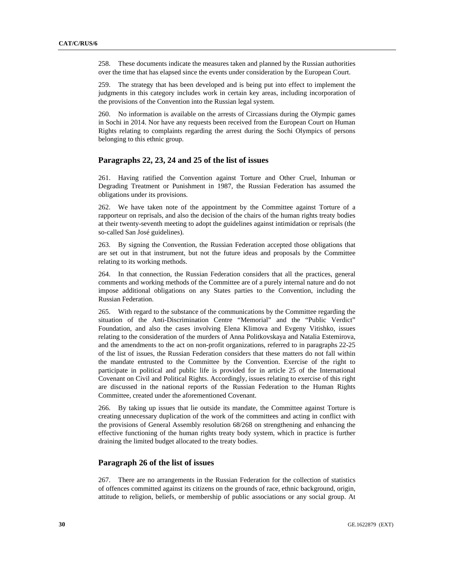258. These documents indicate the measures taken and planned by the Russian authorities over the time that has elapsed since the events under consideration by the European Court.

259. The strategy that has been developed and is being put into effect to implement the judgments in this category includes work in certain key areas, including incorporation of the provisions of the Convention into the Russian legal system.

260. No information is available on the arrests of Circassians during the Olympic games in Sochi in 2014. Nor have any requests been received from the European Court on Human Rights relating to complaints regarding the arrest during the Sochi Olympics of persons belonging to this ethnic group.

## **Paragraphs 22, 23, 24 and 25 of the list of issues**

261. Having ratified the Convention against Torture and Other Cruel, Inhuman or Degrading Treatment or Punishment in 1987, the Russian Federation has assumed the obligations under its provisions.

262. We have taken note of the appointment by the Committee against Torture of a rapporteur on reprisals, and also the decision of the chairs of the human rights treaty bodies at their twenty-seventh meeting to adopt the guidelines against intimidation or reprisals (the so-called San José guidelines).

263. By signing the Convention, the Russian Federation accepted those obligations that are set out in that instrument, but not the future ideas and proposals by the Committee relating to its working methods.

264. In that connection, the Russian Federation considers that all the practices, general comments and working methods of the Committee are of a purely internal nature and do not impose additional obligations on any States parties to the Convention, including the Russian Federation.

265. With regard to the substance of the communications by the Committee regarding the situation of the Anti-Discrimination Centre "Memorial" and the "Public Verdict" Foundation, and also the cases involving Elena Klimova and Evgeny Vitishko, issues relating to the consideration of the murders of Anna Politkovskaya and Natalia Estemirova, and the amendments to the act on non-profit organizations, referred to in paragraphs 22-25 of the list of issues, the Russian Federation considers that these matters do not fall within the mandate entrusted to the Committee by the Convention. Exercise of the right to participate in political and public life is provided for in article 25 of the International Covenant on Civil and Political Rights. Accordingly, issues relating to exercise of this right are discussed in the national reports of the Russian Federation to the Human Rights Committee, created under the aforementioned Covenant.

266. By taking up issues that lie outside its mandate, the Committee against Torture is creating unnecessary duplication of the work of the committees and acting in conflict with the provisions of General Assembly resolution 68/268 on strengthening and enhancing the effective functioning of the human rights treaty body system, which in practice is further draining the limited budget allocated to the treaty bodies.

## **Paragraph 26 of the list of issues**

267. There are no arrangements in the Russian Federation for the collection of statistics of offences committed against its citizens on the grounds of race, ethnic background, origin, attitude to religion, beliefs, or membership of public associations or any social group. At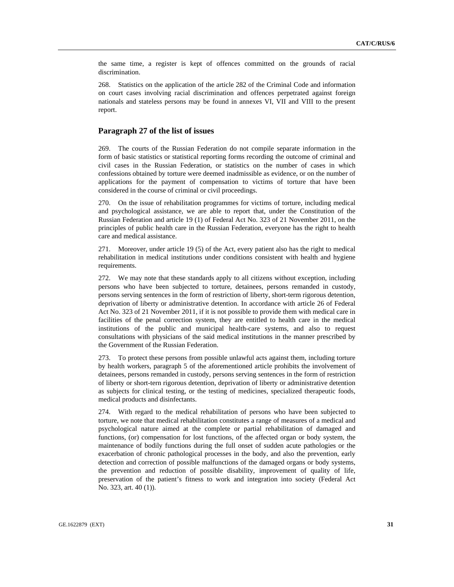the same time, a register is kept of offences committed on the grounds of racial discrimination.

268. Statistics on the application of the article 282 of the Criminal Code and information on court cases involving racial discrimination and offences perpetrated against foreign nationals and stateless persons may be found in annexes VI, VII and VIII to the present report.

## **Paragraph 27 of the list of issues**

269. The courts of the Russian Federation do not compile separate information in the form of basic statistics or statistical reporting forms recording the outcome of criminal and civil cases in the Russian Federation, or statistics on the number of cases in which confessions obtained by torture were deemed inadmissible as evidence, or on the number of applications for the payment of compensation to victims of torture that have been considered in the course of criminal or civil proceedings.

270. On the issue of rehabilitation programmes for victims of torture, including medical and psychological assistance, we are able to report that, under the Constitution of the Russian Federation and article 19 (1) of Federal Act No. 323 of 21 November 2011, on the principles of public health care in the Russian Federation, everyone has the right to health care and medical assistance.

271. Moreover, under article 19 (5) of the Act, every patient also has the right to medical rehabilitation in medical institutions under conditions consistent with health and hygiene requirements.

272. We may note that these standards apply to all citizens without exception, including persons who have been subjected to torture, detainees, persons remanded in custody, persons serving sentences in the form of restriction of liberty, short-term rigorous detention, deprivation of liberty or administrative detention. In accordance with article 26 of Federal Act No. 323 of 21 November 2011, if it is not possible to provide them with medical care in facilities of the penal correction system, they are entitled to health care in the medical institutions of the public and municipal health-care systems, and also to request consultations with physicians of the said medical institutions in the manner prescribed by the Government of the Russian Federation.

273. To protect these persons from possible unlawful acts against them, including torture by health workers, paragraph 5 of the aforementioned article prohibits the involvement of detainees, persons remanded in custody, persons serving sentences in the form of restriction of liberty or short-tern rigorous detention, deprivation of liberty or administrative detention as subjects for clinical testing, or the testing of medicines, specialized therapeutic foods, medical products and disinfectants.

274. With regard to the medical rehabilitation of persons who have been subjected to torture, we note that medical rehabilitation constitutes a range of measures of a medical and psychological nature aimed at the complete or partial rehabilitation of damaged and functions, (or) compensation for lost functions, of the affected organ or body system, the maintenance of bodily functions during the full onset of sudden acute pathologies or the exacerbation of chronic pathological processes in the body, and also the prevention, early detection and correction of possible malfunctions of the damaged organs or body systems, the prevention and reduction of possible disability, improvement of quality of life, preservation of the patient's fitness to work and integration into society (Federal Act No. 323, art. 40 (1)).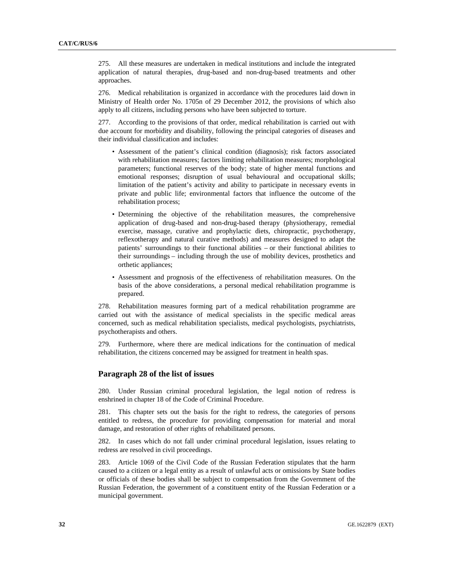275. All these measures are undertaken in medical institutions and include the integrated application of natural therapies, drug-based and non-drug-based treatments and other approaches.

276. Medical rehabilitation is organized in accordance with the procedures laid down in Ministry of Health order No. 1705n of 29 December 2012, the provisions of which also apply to all citizens, including persons who have been subjected to torture.

277. According to the provisions of that order, medical rehabilitation is carried out with due account for morbidity and disability, following the principal categories of diseases and their individual classification and includes:

- Assessment of the patient's clinical condition (diagnosis); risk factors associated with rehabilitation measures; factors limiting rehabilitation measures; morphological parameters; functional reserves of the body; state of higher mental functions and emotional responses; disruption of usual behavioural and occupational skills; limitation of the patient's activity and ability to participate in necessary events in private and public life; environmental factors that influence the outcome of the rehabilitation process;
- Determining the objective of the rehabilitation measures, the comprehensive application of drug-based and non-drug-based therapy (physiotherapy, remedial exercise, massage, curative and prophylactic diets, chiropractic, psychotherapy, reflexotherapy and natural curative methods) and measures designed to adapt the patients' surroundings to their functional abilities – or their functional abilities to their surroundings – including through the use of mobility devices, prosthetics and orthetic appliances;
- Assessment and prognosis of the effectiveness of rehabilitation measures. On the basis of the above considerations, a personal medical rehabilitation programme is prepared.

278. Rehabilitation measures forming part of a medical rehabilitation programme are carried out with the assistance of medical specialists in the specific medical areas concerned, such as medical rehabilitation specialists, medical psychologists, psychiatrists, psychotherapists and others.

279. Furthermore, where there are medical indications for the continuation of medical rehabilitation, the citizens concerned may be assigned for treatment in health spas.

#### **Paragraph 28 of the list of issues**

280. Under Russian criminal procedural legislation, the legal notion of redress is enshrined in chapter 18 of the Code of Criminal Procedure.

281. This chapter sets out the basis for the right to redress, the categories of persons entitled to redress, the procedure for providing compensation for material and moral damage, and restoration of other rights of rehabilitated persons.

282. In cases which do not fall under criminal procedural legislation, issues relating to redress are resolved in civil proceedings.

283. Article 1069 of the Civil Code of the Russian Federation stipulates that the harm caused to a citizen or a legal entity as a result of unlawful acts or omissions by State bodies or officials of these bodies shall be subject to compensation from the Government of the Russian Federation, the government of a constituent entity of the Russian Federation or a municipal government.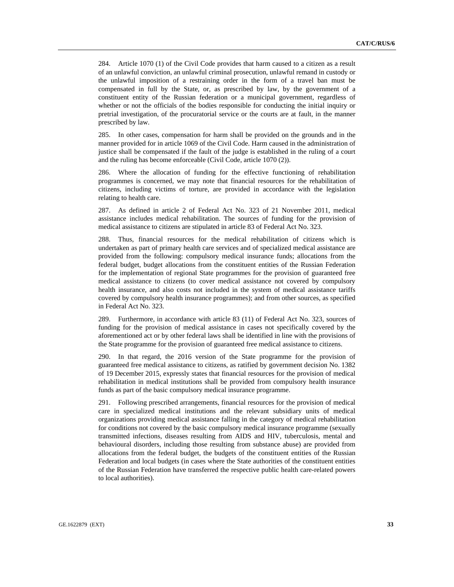284. Article 1070 (1) of the Civil Code provides that harm caused to a citizen as a result of an unlawful conviction, an unlawful criminal prosecution, unlawful remand in custody or the unlawful imposition of a restraining order in the form of a travel ban must be compensated in full by the State, or, as prescribed by law, by the government of a constituent entity of the Russian federation or a municipal government, regardless of whether or not the officials of the bodies responsible for conducting the initial inquiry or pretrial investigation, of the procuratorial service or the courts are at fault, in the manner prescribed by law.

285. In other cases, compensation for harm shall be provided on the grounds and in the manner provided for in article 1069 of the Civil Code. Harm caused in the administration of justice shall be compensated if the fault of the judge is established in the ruling of a court and the ruling has become enforceable (Civil Code, article 1070 (2)).

286. Where the allocation of funding for the effective functioning of rehabilitation programmes is concerned, we may note that financial resources for the rehabilitation of citizens, including victims of torture, are provided in accordance with the legislation relating to health care.

287. As defined in article 2 of Federal Act No. 323 of 21 November 2011, medical assistance includes medical rehabilitation. The sources of funding for the provision of medical assistance to citizens are stipulated in article 83 of Federal Act No. 323.

288. Thus, financial resources for the medical rehabilitation of citizens which is undertaken as part of primary health care services and of specialized medical assistance are provided from the following: compulsory medical insurance funds; allocations from the federal budget, budget allocations from the constituent entities of the Russian Federation for the implementation of regional State programmes for the provision of guaranteed free medical assistance to citizens (to cover medical assistance not covered by compulsory health insurance, and also costs not included in the system of medical assistance tariffs covered by compulsory health insurance programmes); and from other sources, as specified in Federal Act No. 323.

289. Furthermore, in accordance with article 83 (11) of Federal Act No. 323, sources of funding for the provision of medical assistance in cases not specifically covered by the aforementioned act or by other federal laws shall be identified in line with the provisions of the State programme for the provision of guaranteed free medical assistance to citizens.

290. In that regard, the 2016 version of the State programme for the provision of guaranteed free medical assistance to citizens, as ratified by government decision No. 1382 of 19 December 2015, expressly states that financial resources for the provision of medical rehabilitation in medical institutions shall be provided from compulsory health insurance funds as part of the basic compulsory medical insurance programme.

291. Following prescribed arrangements, financial resources for the provision of medical care in specialized medical institutions and the relevant subsidiary units of medical organizations providing medical assistance falling in the category of medical rehabilitation for conditions not covered by the basic compulsory medical insurance programme (sexually transmitted infections, diseases resulting from AIDS and HIV, tuberculosis, mental and behavioural disorders, including those resulting from substance abuse) are provided from allocations from the federal budget, the budgets of the constituent entities of the Russian Federation and local budgets (in cases where the State authorities of the constituent entities of the Russian Federation have transferred the respective public health care-related powers to local authorities).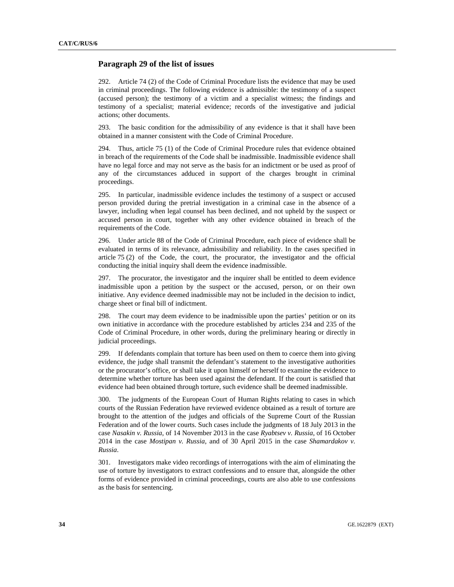## **Paragraph 29 of the list of issues**

292. Article 74 (2) of the Code of Criminal Procedure lists the evidence that may be used in criminal proceedings. The following evidence is admissible: the testimony of a suspect (accused person); the testimony of a victim and a specialist witness; the findings and testimony of a specialist; material evidence; records of the investigative and judicial actions; other documents.

293. The basic condition for the admissibility of any evidence is that it shall have been obtained in a manner consistent with the Code of Criminal Procedure.

294. Thus, article 75 (1) of the Code of Criminal Procedure rules that evidence obtained in breach of the requirements of the Code shall be inadmissible. Inadmissible evidence shall have no legal force and may not serve as the basis for an indictment or be used as proof of any of the circumstances adduced in support of the charges brought in criminal proceedings.

295. In particular, inadmissible evidence includes the testimony of a suspect or accused person provided during the pretrial investigation in a criminal case in the absence of a lawyer, including when legal counsel has been declined, and not upheld by the suspect or accused person in court, together with any other evidence obtained in breach of the requirements of the Code.

296. Under article 88 of the Code of Criminal Procedure, each piece of evidence shall be evaluated in terms of its relevance, admissibility and reliability. In the cases specified in article 75 (2) of the Code, the court, the procurator, the investigator and the official conducting the initial inquiry shall deem the evidence inadmissible.

297. The procurator, the investigator and the inquirer shall be entitled to deem evidence inadmissible upon a petition by the suspect or the accused, person, or on their own initiative. Any evidence deemed inadmissible may not be included in the decision to indict, charge sheet or final bill of indictment.

298. The court may deem evidence to be inadmissible upon the parties' petition or on its own initiative in accordance with the procedure established by articles 234 and 235 of the Code of Criminal Procedure, in other words, during the preliminary hearing or directly in judicial proceedings.

299. If defendants complain that torture has been used on them to coerce them into giving evidence, the judge shall transmit the defendant's statement to the investigative authorities or the procurator's office, or shall take it upon himself or herself to examine the evidence to determine whether torture has been used against the defendant. If the court is satisfied that evidence had been obtained through torture, such evidence shall be deemed inadmissible.

300. The judgments of the European Court of Human Rights relating to cases in which courts of the Russian Federation have reviewed evidence obtained as a result of torture are brought to the attention of the judges and officials of the Supreme Court of the Russian Federation and of the lower courts. Such cases include the judgments of 18 July 2013 in the case *Nasakin v. Russia*, of 14 November 2013 in the case *Ryabtsev v. Russia*, of 16 October 2014 in the case *Mostipan v. Russia*, and of 30 April 2015 in the case *Shamardakov v. Russia*.

301. Investigators make video recordings of interrogations with the aim of eliminating the use of torture by investigators to extract confessions and to ensure that, alongside the other forms of evidence provided in criminal proceedings, courts are also able to use confessions as the basis for sentencing.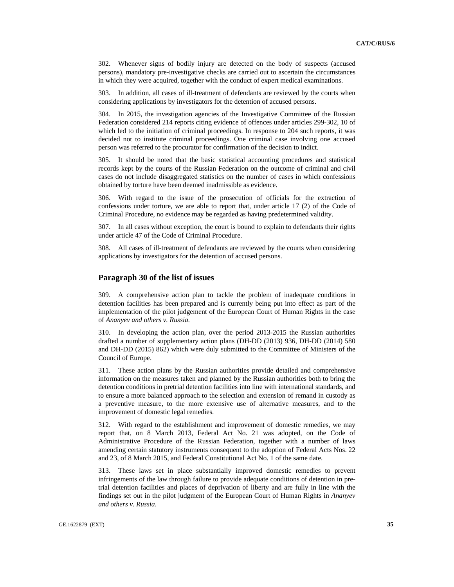302. Whenever signs of bodily injury are detected on the body of suspects (accused persons), mandatory pre-investigative checks are carried out to ascertain the circumstances in which they were acquired, together with the conduct of expert medical examinations.

303. In addition, all cases of ill-treatment of defendants are reviewed by the courts when considering applications by investigators for the detention of accused persons.

304. In 2015, the investigation agencies of the Investigative Committee of the Russian Federation considered 214 reports citing evidence of offences under articles 299-302, 10 of which led to the initiation of criminal proceedings. In response to 204 such reports, it was decided not to institute criminal proceedings. One criminal case involving one accused person was referred to the procurator for confirmation of the decision to indict.

305. It should be noted that the basic statistical accounting procedures and statistical records kept by the courts of the Russian Federation on the outcome of criminal and civil cases do not include disaggregated statistics on the number of cases in which confessions obtained by torture have been deemed inadmissible as evidence.

306. With regard to the issue of the prosecution of officials for the extraction of confessions under torture, we are able to report that, under article 17 (2) of the Code of Criminal Procedure, no evidence may be regarded as having predetermined validity.

307. In all cases without exception, the court is bound to explain to defendants their rights under article 47 of the Code of Criminal Procedure.

308. All cases of ill-treatment of defendants are reviewed by the courts when considering applications by investigators for the detention of accused persons.

## **Paragraph 30 of the list of issues**

309. A comprehensive action plan to tackle the problem of inadequate conditions in detention facilities has been prepared and is currently being put into effect as part of the implementation of the pilot judgement of the European Court of Human Rights in the case of *Ananyev and others v. Russia.*

310. In developing the action plan, over the period 2013-2015 the Russian authorities drafted a number of supplementary action plans (DH-DD (2013) 936, DH-DD (2014) 580 and DH-DD (2015) 862) which were duly submitted to the Committee of Ministers of the Council of Europe.

311. These action plans by the Russian authorities provide detailed and comprehensive information on the measures taken and planned by the Russian authorities both to bring the detention conditions in pretrial detention facilities into line with international standards, and to ensure a more balanced approach to the selection and extension of remand in custody as a preventive measure, to the more extensive use of alternative measures, and to the improvement of domestic legal remedies.

312. With regard to the establishment and improvement of domestic remedies, we may report that, on 8 March 2013, Federal Act No. 21 was adopted, on the Code of Administrative Procedure of the Russian Federation, together with a number of laws amending certain statutory instruments consequent to the adoption of Federal Acts Nos. 22 and 23, of 8 March 2015, and Federal Constitutional Act No. 1 of the same date.

313. These laws set in place substantially improved domestic remedies to prevent infringements of the law through failure to provide adequate conditions of detention in pretrial detention facilities and places of deprivation of liberty and are fully in line with the findings set out in the pilot judgment of the European Court of Human Rights in *Ananyev and others v. Russia*.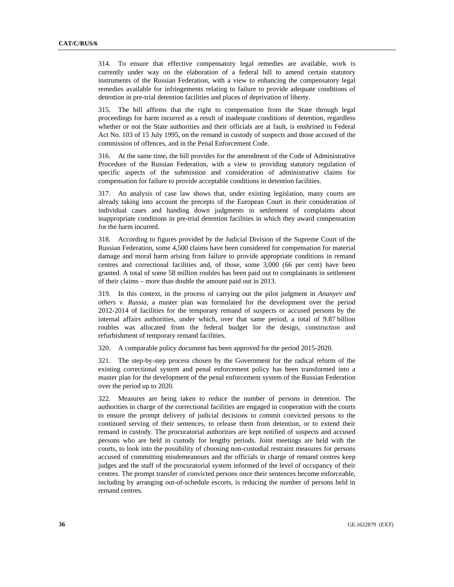314. To ensure that effective compensatory legal remedies are available, work is currently under way on the elaboration of a federal bill to amend certain statutory instruments of the Russian Federation, with a view to enhancing the compensatory legal remedies available for infringements relating to failure to provide adequate conditions of detention in pre-trial detention facilities and places of deprivation of liberty.

315. The bill affirms that the right to compensation from the State through legal proceedings for harm incurred as a result of inadequate conditions of detention, regardless whether or not the State authorities and their officials are at fault, is enshrined in Federal Act No. 103 of 15 July 1995, on the remand in custody of suspects and those accused of the commission of offences, and in the Penal Enforcement Code.

316. At the same time, the bill provides for the amendment of the Code of Administrative Procedure of the Russian Federation, with a view to providing statutory regulation of specific aspects of the submission and consideration of administrative claims for compensation for failure to provide acceptable conditions in detention facilities.

317. An analysis of case law shows that, under existing legislation, many courts are already taking into account the precepts of the European Court in their consideration of individual cases and handing down judgments in settlement of complaints about inappropriate conditions in pre-trial detention facilities in which they award compensation for the harm incurred.

318. According to figures provided by the Judicial Division of the Supreme Court of the Russian Federation, some 4,500 claims have been considered for compensation for material damage and moral harm arising from failure to provide appropriate conditions in remand centres and correctional facilities and, of those, some 3,000 (66 per cent) have been granted. A total of some 58 million roubles has been paid out to complainants in settlement of their claims – more than double the amount paid out in 2013.

319. In this context, in the process of carrying out the pilot judgment in *Ananyev and others v. Russia*, a master plan was formulated for the development over the period 2012-2014 of facilities for the temporary remand of suspects or accused persons by the internal affairs authorities, under which, over that same period, a total of 9.87 billion roubles was allocated from the federal budget for the design, construction and refurbishment of temporary remand facilities.

320. A comparable policy document has been approved for the period 2015-2020.

321. The step-by-step process chosen by the Government for the radical reform of the existing correctional system and penal enforcement policy has been transformed into a master plan for the development of the penal enforcement system of the Russian Federation over the period up to 2020.

322. Measures are being taken to reduce the number of persons in detention. The authorities in charge of the correctional facilities are engaged in cooperation with the courts to ensure the prompt delivery of judicial decisions to commit convicted persons to the continued serving of their sentences, to release them from detention, or to extend their remand in custody. The procuratorial authorities are kept notified of suspects and accused persons who are held in custody for lengthy periods. Joint meetings are held with the courts, to look into the possibility of choosing non-custodial restraint measures for persons accused of committing misdemeanours and the officials in charge of remand centres keep judges and the staff of the procuratorial system informed of the level of occupancy of their centres. The prompt transfer of convicted persons once their sentences become enforceable, including by arranging out-of-schedule escorts, is reducing the number of persons held in remand centres.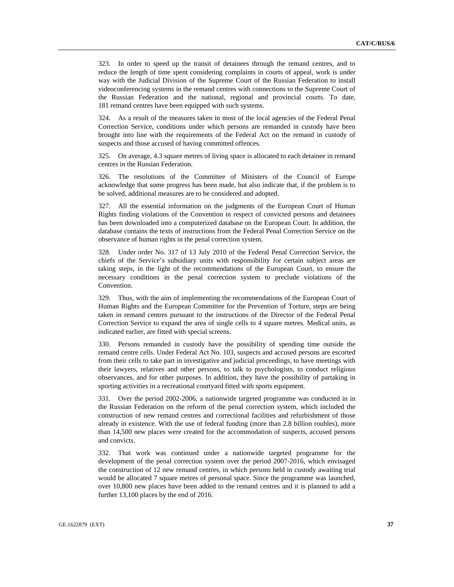323. In order to speed up the transit of detainees through the remand centres, and to reduce the length of time spent considering complaints in courts of appeal, work is under way with the Judicial Division of the Supreme Court of the Russian Federation to install videoconferencing systems in the remand centres with connections to the Supreme Court of the Russian Federation and the national, regional and provincial courts. To date, 181 remand centres have been equipped with such systems.

324. As a result of the measures taken in most of the local agencies of the Federal Penal Correction Service, conditions under which persons are remanded in custody have been brought into line with the requirements of the Federal Act on the remand in custody of suspects and those accused of having committed offences.

325. On average, 4.3 square metres of living space is allocated to each detainee in remand centres in the Russian Federation.

326. The resolutions of the Committee of Ministers of the Council of Europe acknowledge that some progress has been made, but also indicate that, if the problem is to be solved, additional measures are to be considered and adopted.

327. All the essential information on the judgments of the European Court of Human Rights finding violations of the Convention in respect of convicted persons and detainees has been downloaded into a computerized database on the European Court. In addition, the database contains the texts of instructions from the Federal Penal Correction Service on the observance of human rights in the penal correction system.

328. Under order No. 317 of 13 July 2010 of the Federal Penal Correction Service, the chiefs of the Service's subsidiary units with responsibility for certain subject areas are taking steps, in the light of the recommendations of the European Court, to ensure the necessary conditions in the penal correction system to preclude violations of the Convention.

329. Thus, with the aim of implementing the recommendations of the European Court of Human Rights and the European Committee for the Prevention of Torture, steps are being taken in remand centres pursuant to the instructions of the Director of the Federal Penal Correction Service to expand the area of single cells to 4 square metres. Medical units, as indicated earlier, are fitted with special screens.

330. Persons remanded in custody have the possibility of spending time outside the remand centre cells. Under Federal Act No. 103, suspects and accused persons are escorted from their cells to take part in investigative and judicial proceedings, to have meetings with their lawyers, relatives and other persons, to talk to psychologists, to conduct religious observances, and for other purposes. In addition, they have the possibility of partaking in sporting activities in a recreational courtyard fitted with sports equipment.

331. Over the period 2002-2006, a nationwide targeted programme was conducted in in the Russian Federation on the reform of the penal correction system, which included the construction of new remand centres and correctional facilities and refurbishment of those already in existence. With the use of federal funding (more than 2.8 billion roubles), more than 14,500 new places were created for the accommodation of suspects, accused persons and convicts.

332. That work was continued under a nationwide targeted programme for the development of the penal correction system over the period 2007-2016, which envisaged the construction of 12 new remand centres, in which persons held in custody awaiting trial would be allocated 7 square metres of personal space. Since the programme was launched, over 10,800 new places have been added to the remand centres and it is planned to add a further 13,100 places by the end of 2016.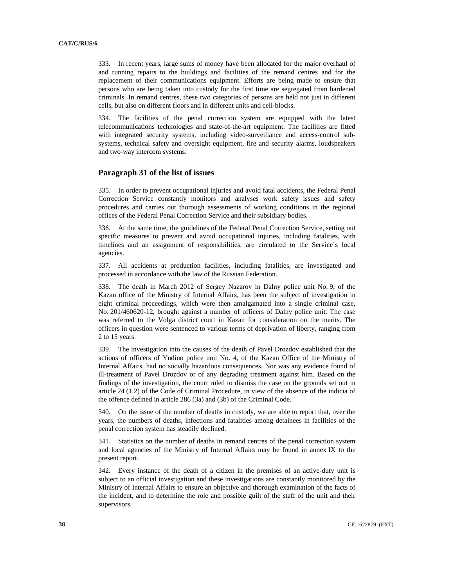333. In recent years, large sums of money have been allocated for the major overhaul of and running repairs to the buildings and facilities of the remand centres and for the replacement of their communications equipment. Efforts are being made to ensure that persons who are being taken into custody for the first time are segregated from hardened criminals. In remand centres, these two categories of persons are held not just in different cells, but also on different floors and in different units and cell-blocks.

334. The facilities of the penal correction system are equipped with the latest telecommunications technologies and state-of-the-art equipment. The facilities are fitted with integrated security systems, including video-surveillance and access-control subsystems, technical safety and oversight equipment, fire and security alarms, loudspeakers and two-way intercom systems.

## **Paragraph 31 of the list of issues**

335. In order to prevent occupational injuries and avoid fatal accidents, the Federal Penal Correction Service constantly monitors and analyses work safety issues and safety procedures and carries out thorough assessments of working conditions in the regional offices of the Federal Penal Correction Service and their subsidiary bodies.

336. At the same time, the guidelines of the Federal Penal Correction Service, setting out specific measures to prevent and avoid occupational injuries, including fatalities, with timelines and an assignment of responsibilities, are circulated to the Service's local agencies.

337. All accidents at production facilities, including fatalities, are investigated and processed in accordance with the law of the Russian Federation.

338. The death in March 2012 of Sergey Nazarov in Dalny police unit No. 9, of the Kazan office of the Ministry of Internal Affairs, has been the subject of investigation in eight criminal proceedings, which were then amalgamated into a single criminal case, No. 201/460620-12, brought against a number of officers of Dalny police unit. The case was referred to the Volga district court in Kazan for consideration on the merits. The officers in question were sentenced to various terms of deprivation of liberty, ranging from 2 to 15 years.

339. The investigation into the causes of the death of Pavel Drozdov established that the actions of officers of Yudino police unit No. 4, of the Kazan Office of the Ministry of Internal Affairs, had no socially hazardous consequences. Nor was any evidence found of ill-treatment of Pavel Drozdov or of any degrading treatment against him. Based on the findings of the investigation, the court ruled to dismiss the case on the grounds set out in article 24 (1.2) of the Code of Criminal Procedure, in view of the absence of the indicia of the offence defined in article 286 (3a) and (3b) of the Criminal Code.

340. On the issue of the number of deaths in custody, we are able to report that, over the years, the numbers of deaths, infections and fatalities among detainees in facilities of the penal correction system has steadily declined.

341. Statistics on the number of deaths in remand centres of the penal correction system and local agencies of the Ministry of Internal Affairs may be found in annex IX to the present report.

342. Every instance of the death of a citizen in the premises of an active-duty unit is subject to an official investigation and these investigations are constantly monitored by the Ministry of Internal Affairs to ensure an objective and thorough examination of the facts of the incident, and to determine the role and possible guilt of the staff of the unit and their supervisors.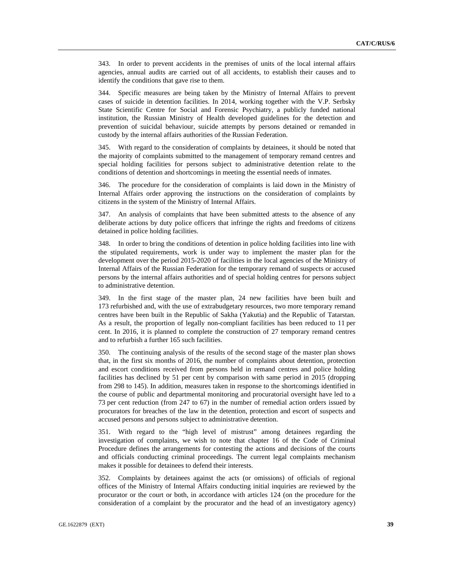343. In order to prevent accidents in the premises of units of the local internal affairs agencies, annual audits are carried out of all accidents, to establish their causes and to identify the conditions that gave rise to them.

344. Specific measures are being taken by the Ministry of Internal Affairs to prevent cases of suicide in detention facilities. In 2014, working together with the V.P. Serbsky State Scientific Centre for Social and Forensic Psychiatry, a publicly funded national institution, the Russian Ministry of Health developed guidelines for the detection and prevention of suicidal behaviour, suicide attempts by persons detained or remanded in custody by the internal affairs authorities of the Russian Federation.

345. With regard to the consideration of complaints by detainees, it should be noted that the majority of complaints submitted to the management of temporary remand centres and special holding facilities for persons subject to administrative detention relate to the conditions of detention and shortcomings in meeting the essential needs of inmates.

346. The procedure for the consideration of complaints is laid down in the Ministry of Internal Affairs order approving the instructions on the consideration of complaints by citizens in the system of the Ministry of Internal Affairs.

347. An analysis of complaints that have been submitted attests to the absence of any deliberate actions by duty police officers that infringe the rights and freedoms of citizens detained in police holding facilities.

348. In order to bring the conditions of detention in police holding facilities into line with the stipulated requirements, work is under way to implement the master plan for the development over the period 2015-2020 of facilities in the local agencies of the Ministry of Internal Affairs of the Russian Federation for the temporary remand of suspects or accused persons by the internal affairs authorities and of special holding centres for persons subject to administrative detention.

349. In the first stage of the master plan, 24 new facilities have been built and 173 refurbished and, with the use of extrabudgetary resources, two more temporary remand centres have been built in the Republic of Sakha (Yakutia) and the Republic of Tatarstan. As a result, the proportion of legally non-compliant facilities has been reduced to 11 per cent. In 2016, it is planned to complete the construction of 27 temporary remand centres and to refurbish a further 165 such facilities.

350. The continuing analysis of the results of the second stage of the master plan shows that, in the first six months of 2016, the number of complaints about detention, protection and escort conditions received from persons held in remand centres and police holding facilities has declined by 51 per cent by comparison with same period in 2015 (dropping from 298 to 145). In addition, measures taken in response to the shortcomings identified in the course of public and departmental monitoring and procuratorial oversight have led to a 73 per cent reduction (from 247 to 67) in the number of remedial action orders issued by procurators for breaches of the law in the detention, protection and escort of suspects and accused persons and persons subject to administrative detention.

351. With regard to the "high level of mistrust" among detainees regarding the investigation of complaints, we wish to note that chapter 16 of the Code of Criminal Procedure defines the arrangements for contesting the actions and decisions of the courts and officials conducting criminal proceedings. The current legal complaints mechanism makes it possible for detainees to defend their interests.

352. Complaints by detainees against the acts (or omissions) of officials of regional offices of the Ministry of Internal Affairs conducting initial inquiries are reviewed by the procurator or the court or both, in accordance with articles 124 (on the procedure for the consideration of a complaint by the procurator and the head of an investigatory agency)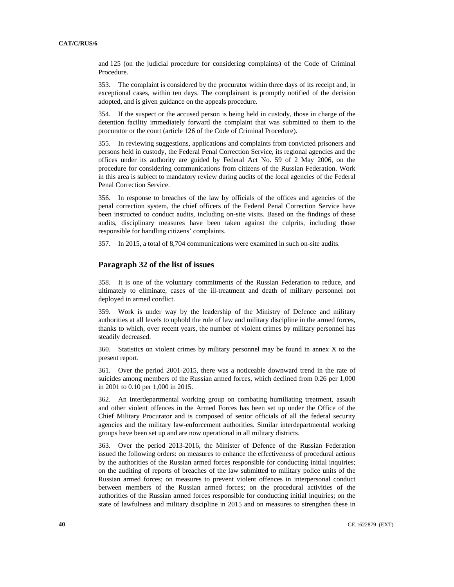and 125 (on the judicial procedure for considering complaints) of the Code of Criminal Procedure.

353. The complaint is considered by the procurator within three days of its receipt and, in exceptional cases, within ten days. The complainant is promptly notified of the decision adopted, and is given guidance on the appeals procedure.

354. If the suspect or the accused person is being held in custody, those in charge of the detention facility immediately forward the complaint that was submitted to them to the procurator or the court (article 126 of the Code of Criminal Procedure).

355. In reviewing suggestions, applications and complaints from convicted prisoners and persons held in custody, the Federal Penal Correction Service, its regional agencies and the offices under its authority are guided by Federal Act No. 59 of 2 May 2006, on the procedure for considering communications from citizens of the Russian Federation. Work in this area is subject to mandatory review during audits of the local agencies of the Federal Penal Correction Service.

356. In response to breaches of the law by officials of the offices and agencies of the penal correction system, the chief officers of the Federal Penal Correction Service have been instructed to conduct audits, including on-site visits. Based on the findings of these audits, disciplinary measures have been taken against the culprits, including those responsible for handling citizens' complaints.

357. In 2015, a total of 8,704 communications were examined in such on-site audits.

## **Paragraph 32 of the list of issues**

358. It is one of the voluntary commitments of the Russian Federation to reduce, and ultimately to eliminate, cases of the ill-treatment and death of military personnel not deployed in armed conflict.

359. Work is under way by the leadership of the Ministry of Defence and military authorities at all levels to uphold the rule of law and military discipline in the armed forces, thanks to which, over recent years, the number of violent crimes by military personnel has steadily decreased.

360. Statistics on violent crimes by military personnel may be found in annex X to the present report.

361. Over the period 2001-2015, there was a noticeable downward trend in the rate of suicides among members of the Russian armed forces, which declined from 0.26 per 1,000 in 2001 to 0.10 per 1,000 in 2015.

362. An interdepartmental working group on combating humiliating treatment, assault and other violent offences in the Armed Forces has been set up under the Office of the Chief Military Procurator and is composed of senior officials of all the federal security agencies and the military law-enforcement authorities. Similar interdepartmental working groups have been set up and are now operational in all military districts.

363. Over the period 2013-2016, the Minister of Defence of the Russian Federation issued the following orders: on measures to enhance the effectiveness of procedural actions by the authorities of the Russian armed forces responsible for conducting initial inquiries; on the auditing of reports of breaches of the law submitted to military police units of the Russian armed forces; on measures to prevent violent offences in interpersonal conduct between members of the Russian armed forces; on the procedural activities of the authorities of the Russian armed forces responsible for conducting initial inquiries; on the state of lawfulness and military discipline in 2015 and on measures to strengthen these in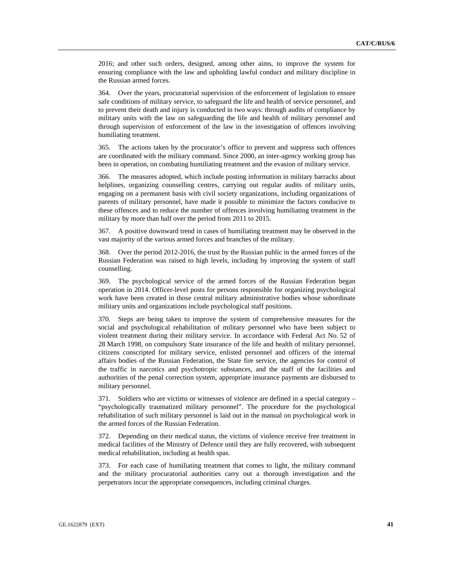2016; and other such orders, designed, among other aims, to improve the system for ensuring compliance with the law and upholding lawful conduct and military discipline in the Russian armed forces.

364. Over the years, procuratorial supervision of the enforcement of legislation to ensure safe conditions of military service, to safeguard the life and health of service personnel, and to prevent their death and injury is conducted in two ways: through audits of compliance by military units with the law on safeguarding the life and health of military personnel and through supervision of enforcement of the law in the investigation of offences involving humiliating treatment.

365. The actions taken by the procurator's office to prevent and suppress such offences are coordinated with the military command. Since 2000, an inter-agency working group has been in operation, on combating humiliating treatment and the evasion of military service.

366. The measures adopted, which include posting information in military barracks about helplines, organizing counselling centres, carrying out regular audits of military units, engaging on a permanent basis with civil society organizations, including organizations of parents of military personnel, have made it possible to minimize the factors conducive to these offences and to reduce the number of offences involving humiliating treatment in the military by more than half over the period from 2011 to 2015.

367. A positive downward trend in cases of humiliating treatment may be observed in the vast majority of the various armed forces and branches of the military.

368. Over the period 2012-2016, the trust by the Russian public in the armed forces of the Russian Federation was raised to high levels, including by improving the system of staff counselling.

369. The psychological service of the armed forces of the Russian Federation began operation in 2014. Officer-level posts for persons responsible for organizing psychological work have been created in those central military administrative bodies whose subordinate military units and organizations include psychological staff positions.

370. Steps are being taken to improve the system of comprehensive measures for the social and psychological rehabilitation of military personnel who have been subject to violent treatment during their military service. In accordance with Federal Act No. 52 of 28 March 1998, on compulsory State insurance of the life and health of military personnel, citizens conscripted for military service, enlisted personnel and officers of the internal affairs bodies of the Russian Federation, the State fire service, the agencies for control of the traffic in narcotics and psychotropic substances, and the staff of the facilities and authorities of the penal correction system, appropriate insurance payments are disbursed to military personnel.

371. Soldiers who are victims or witnesses of violence are defined in a special category – "psychologically traumatized military personnel". The procedure for the psychological rehabilitation of such military personnel is laid out in the manual on psychological work in the armed forces of the Russian Federation.

372. Depending on their medical status, the victims of violence receive free treatment in medical facilities of the Ministry of Defence until they are fully recovered, with subsequent medical rehabilitation, including at health spas.

373. For each case of humiliating treatment that comes to light, the military command and the military procuratorial authorities carry out a thorough investigation and the perpetrators incur the appropriate consequences, including criminal charges.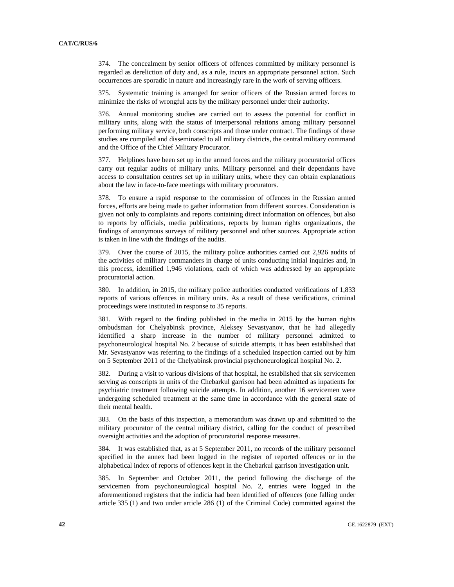374. The concealment by senior officers of offences committed by military personnel is regarded as dereliction of duty and, as a rule, incurs an appropriate personnel action. Such occurrences are sporadic in nature and increasingly rare in the work of serving officers.

375. Systematic training is arranged for senior officers of the Russian armed forces to minimize the risks of wrongful acts by the military personnel under their authority.

376. Annual monitoring studies are carried out to assess the potential for conflict in military units, along with the status of interpersonal relations among military personnel performing military service, both conscripts and those under contract. The findings of these studies are compiled and disseminated to all military districts, the central military command and the Office of the Chief Military Procurator.

377. Helplines have been set up in the armed forces and the military procuratorial offices carry out regular audits of military units. Military personnel and their dependants have access to consultation centres set up in military units, where they can obtain explanations about the law in face-to-face meetings with military procurators.

378. To ensure a rapid response to the commission of offences in the Russian armed forces, efforts are being made to gather information from different sources. Consideration is given not only to complaints and reports containing direct information on offences, but also to reports by officials, media publications, reports by human rights organizations, the findings of anonymous surveys of military personnel and other sources. Appropriate action is taken in line with the findings of the audits.

379. Over the course of 2015, the military police authorities carried out 2,926 audits of the activities of military commanders in charge of units conducting initial inquiries and, in this process, identified 1,946 violations, each of which was addressed by an appropriate procuratorial action.

380. In addition, in 2015, the military police authorities conducted verifications of 1,833 reports of various offences in military units. As a result of these verifications, criminal proceedings were instituted in response to 35 reports.

381. With regard to the finding published in the media in 2015 by the human rights ombudsman for Chelyabinsk province, Aleksey Sevastyanov, that he had allegedly identified a sharp increase in the number of military personnel admitted to psychoneurological hospital No. 2 because of suicide attempts, it has been established that Mr. Sevastyanov was referring to the findings of a scheduled inspection carried out by him on 5 September 2011 of the Chelyabinsk provincial psychoneurological hospital No. 2.

382. During a visit to various divisions of that hospital, he established that six servicemen serving as conscripts in units of the Chebarkul garrison had been admitted as inpatients for psychiatric treatment following suicide attempts. In addition, another 16 servicemen were undergoing scheduled treatment at the same time in accordance with the general state of their mental health.

383. On the basis of this inspection, a memorandum was drawn up and submitted to the military procurator of the central military district, calling for the conduct of prescribed oversight activities and the adoption of procuratorial response measures.

384. It was established that, as at 5 September 2011, no records of the military personnel specified in the annex had been logged in the register of reported offences or in the alphabetical index of reports of offences kept in the Chebarkul garrison investigation unit.

385. In September and October 2011, the period following the discharge of the servicemen from psychoneurological hospital No. 2, entries were logged in the aforementioned registers that the indicia had been identified of offences (one falling under article 335 (1) and two under article 286 (1) of the Criminal Code) committed against the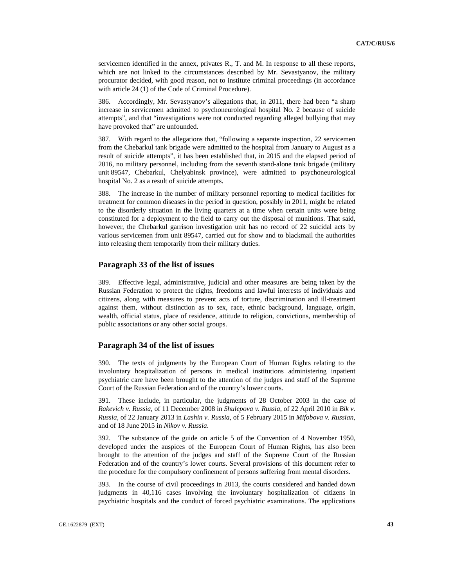servicemen identified in the annex, privates R., T. and M. In response to all these reports, which are not linked to the circumstances described by Mr. Sevastyanov, the military procurator decided, with good reason, not to institute criminal proceedings (in accordance with article 24 (1) of the Code of Criminal Procedure).

386. Accordingly, Mr. Sevastyanov's allegations that, in 2011, there had been "a sharp increase in servicemen admitted to psychoneurological hospital No. 2 because of suicide attempts", and that "investigations were not conducted regarding alleged bullying that may have provoked that" are unfounded.

387. With regard to the allegations that, "following a separate inspection, 22 servicemen from the Chebarkul tank brigade were admitted to the hospital from January to August as a result of suicide attempts", it has been established that, in 2015 and the elapsed period of 2016, no military personnel, including from the seventh stand-alone tank brigade (military unit 89547, Chebarkul, Chelyabinsk province), were admitted to psychoneurological hospital No. 2 as a result of suicide attempts.

388. The increase in the number of military personnel reporting to medical facilities for treatment for common diseases in the period in question, possibly in 2011, might be related to the disorderly situation in the living quarters at a time when certain units were being constituted for a deployment to the field to carry out the disposal of munitions. That said, however, the Chebarkul garrison investigation unit has no record of 22 suicidal acts by various servicemen from unit 89547, carried out for show and to blackmail the authorities into releasing them temporarily from their military duties.

## **Paragraph 33 of the list of issues**

389. Effective legal, administrative, judicial and other measures are being taken by the Russian Federation to protect the rights, freedoms and lawful interests of individuals and citizens, along with measures to prevent acts of torture, discrimination and ill-treatment against them, without distinction as to sex, race, ethnic background, language, origin, wealth, official status, place of residence, attitude to religion, convictions, membership of public associations or any other social groups.

## **Paragraph 34 of the list of issues**

390. The texts of judgments by the European Court of Human Rights relating to the involuntary hospitalization of persons in medical institutions administering inpatient psychiatric care have been brought to the attention of the judges and staff of the Supreme Court of the Russian Federation and of the country's lower courts.

391. These include, in particular, the judgments of 28 October 2003 in the case of *Rakevich v. Russia*, of 11 December 2008 in *Shulepova v. Russia*, of 22 April 2010 in *Bik v. Russia*, of 22 January 2013 in *Lashin v. Russia*, of 5 February 2015 in *Mifobova v. Russian*, and of 18 June 2015 in *Nikov v. Russia*.

392. The substance of the guide on article 5 of the Convention of 4 November 1950, developed under the auspices of the European Court of Human Rights, has also been brought to the attention of the judges and staff of the Supreme Court of the Russian Federation and of the country's lower courts. Several provisions of this document refer to the procedure for the compulsory confinement of persons suffering from mental disorders.

393. In the course of civil proceedings in 2013, the courts considered and handed down judgments in 40,116 cases involving the involuntary hospitalization of citizens in psychiatric hospitals and the conduct of forced psychiatric examinations. The applications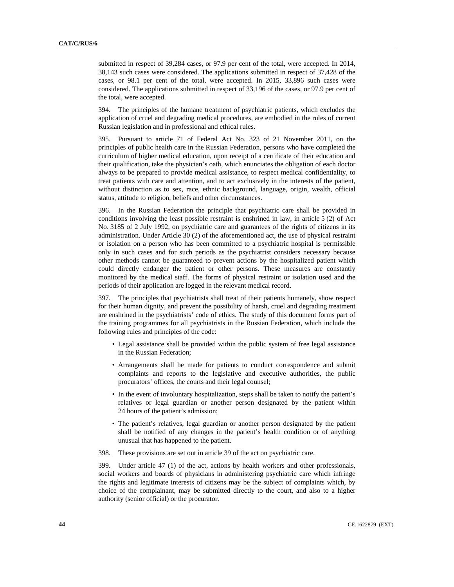submitted in respect of 39,284 cases, or 97.9 per cent of the total, were accepted. In 2014, 38,143 such cases were considered. The applications submitted in respect of 37,428 of the cases, or 98.1 per cent of the total, were accepted. In 2015, 33,896 such cases were considered. The applications submitted in respect of 33,196 of the cases, or 97.9 per cent of the total, were accepted.

394. The principles of the humane treatment of psychiatric patients, which excludes the application of cruel and degrading medical procedures, are embodied in the rules of current Russian legislation and in professional and ethical rules.

395. Pursuant to article 71 of Federal Act No. 323 of 21 November 2011, on the principles of public health care in the Russian Federation, persons who have completed the curriculum of higher medical education, upon receipt of a certificate of their education and their qualification, take the physician's oath, which enunciates the obligation of each doctor always to be prepared to provide medical assistance, to respect medical confidentiality, to treat patients with care and attention, and to act exclusively in the interests of the patient, without distinction as to sex, race, ethnic background, language, origin, wealth, official status, attitude to religion, beliefs and other circumstances.

396. In the Russian Federation the principle that psychiatric care shall be provided in conditions involving the least possible restraint is enshrined in law, in article 5 (2) of Act No. 3185 of 2 July 1992, on psychiatric care and guarantees of the rights of citizens in its administration. Under Article 30 (2) of the aforementioned act, the use of physical restraint or isolation on a person who has been committed to a psychiatric hospital is permissible only in such cases and for such periods as the psychiatrist considers necessary because other methods cannot be guaranteed to prevent actions by the hospitalized patient which could directly endanger the patient or other persons. These measures are constantly monitored by the medical staff. The forms of physical restraint or isolation used and the periods of their application are logged in the relevant medical record.

397. The principles that psychiatrists shall treat of their patients humanely, show respect for their human dignity, and prevent the possibility of harsh, cruel and degrading treatment are enshrined in the psychiatrists' code of ethics. The study of this document forms part of the training programmes for all psychiatrists in the Russian Federation, which include the following rules and principles of the code:

- Legal assistance shall be provided within the public system of free legal assistance in the Russian Federation;
- Arrangements shall be made for patients to conduct correspondence and submit complaints and reports to the legislative and executive authorities, the public procurators' offices, the courts and their legal counsel;
- In the event of involuntary hospitalization, steps shall be taken to notify the patient's relatives or legal guardian or another person designated by the patient within 24 hours of the patient's admission;
- The patient's relatives, legal guardian or another person designated by the patient shall be notified of any changes in the patient's health condition or of anything unusual that has happened to the patient.
- 398. These provisions are set out in article 39 of the act on psychiatric care.

399. Under article 47 (1) of the act, actions by health workers and other professionals, social workers and boards of physicians in administering psychiatric care which infringe the rights and legitimate interests of citizens may be the subject of complaints which, by choice of the complainant, may be submitted directly to the court, and also to a higher authority (senior official) or the procurator.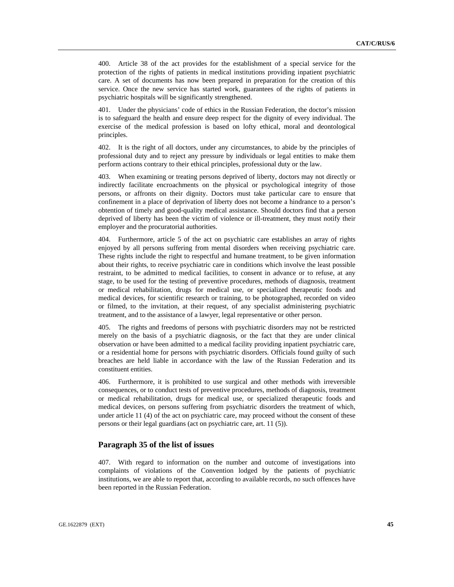400. Article 38 of the act provides for the establishment of a special service for the protection of the rights of patients in medical institutions providing inpatient psychiatric care. A set of documents has now been prepared in preparation for the creation of this service. Once the new service has started work, guarantees of the rights of patients in psychiatric hospitals will be significantly strengthened.

401. Under the physicians' code of ethics in the Russian Federation, the doctor's mission is to safeguard the health and ensure deep respect for the dignity of every individual. The exercise of the medical profession is based on lofty ethical, moral and deontological principles.

402. It is the right of all doctors, under any circumstances, to abide by the principles of professional duty and to reject any pressure by individuals or legal entities to make them perform actions contrary to their ethical principles, professional duty or the law.

403. When examining or treating persons deprived of liberty, doctors may not directly or indirectly facilitate encroachments on the physical or psychological integrity of those persons, or affronts on their dignity. Doctors must take particular care to ensure that confinement in a place of deprivation of liberty does not become a hindrance to a person's obtention of timely and good-quality medical assistance. Should doctors find that a person deprived of liberty has been the victim of violence or ill-treatment, they must notify their employer and the procuratorial authorities.

404. Furthermore, article 5 of the act on psychiatric care establishes an array of rights enjoyed by all persons suffering from mental disorders when receiving psychiatric care. These rights include the right to respectful and humane treatment, to be given information about their rights, to receive psychiatric care in conditions which involve the least possible restraint, to be admitted to medical facilities, to consent in advance or to refuse, at any stage, to be used for the testing of preventive procedures, methods of diagnosis, treatment or medical rehabilitation, drugs for medical use, or specialized therapeutic foods and medical devices, for scientific research or training, to be photographed, recorded on video or filmed, to the invitation, at their request, of any specialist administering psychiatric treatment, and to the assistance of a lawyer, legal representative or other person.

405. The rights and freedoms of persons with psychiatric disorders may not be restricted merely on the basis of a psychiatric diagnosis, or the fact that they are under clinical observation or have been admitted to a medical facility providing inpatient psychiatric care, or a residential home for persons with psychiatric disorders. Officials found guilty of such breaches are held liable in accordance with the law of the Russian Federation and its constituent entities.

406. Furthermore, it is prohibited to use surgical and other methods with irreversible consequences, or to conduct tests of preventive procedures, methods of diagnosis, treatment or medical rehabilitation, drugs for medical use, or specialized therapeutic foods and medical devices, on persons suffering from psychiatric disorders the treatment of which, under article 11 (4) of the act on psychiatric care, may proceed without the consent of these persons or their legal guardians (act on psychiatric care, art. 11 (5)).

## **Paragraph 35 of the list of issues**

407. With regard to information on the number and outcome of investigations into complaints of violations of the Convention lodged by the patients of psychiatric institutions, we are able to report that, according to available records, no such offences have been reported in the Russian Federation.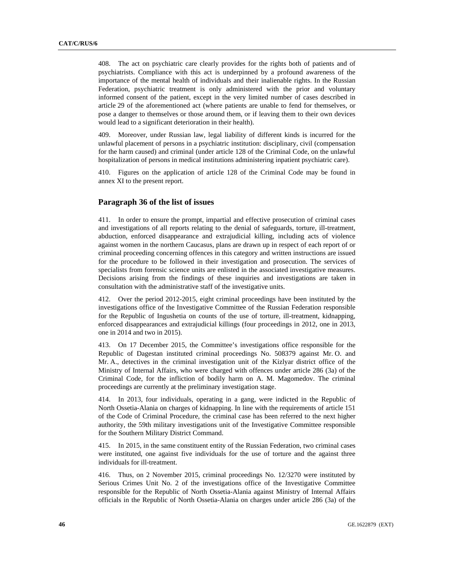408. The act on psychiatric care clearly provides for the rights both of patients and of psychiatrists. Compliance with this act is underpinned by a profound awareness of the importance of the mental health of individuals and their inalienable rights. In the Russian Federation, psychiatric treatment is only administered with the prior and voluntary informed consent of the patient, except in the very limited number of cases described in article 29 of the aforementioned act (where patients are unable to fend for themselves, or pose a danger to themselves or those around them, or if leaving them to their own devices would lead to a significant deterioration in their health).

409. Moreover, under Russian law, legal liability of different kinds is incurred for the unlawful placement of persons in a psychiatric institution: disciplinary, civil (compensation for the harm caused) and criminal (under article 128 of the Criminal Code, on the unlawful hospitalization of persons in medical institutions administering inpatient psychiatric care).

410. Figures on the application of article 128 of the Criminal Code may be found in annex XI to the present report.

## **Paragraph 36 of the list of issues**

411. In order to ensure the prompt, impartial and effective prosecution of criminal cases and investigations of all reports relating to the denial of safeguards, torture, ill-treatment, abduction, enforced disappearance and extrajudicial killing, including acts of violence against women in the northern Caucasus, plans are drawn up in respect of each report of or criminal proceeding concerning offences in this category and written instructions are issued for the procedure to be followed in their investigation and prosecution. The services of specialists from forensic science units are enlisted in the associated investigative measures. Decisions arising from the findings of these inquiries and investigations are taken in consultation with the administrative staff of the investigative units.

412. Over the period 2012-2015, eight criminal proceedings have been instituted by the investigations office of the Investigative Committee of the Russian Federation responsible for the Republic of Ingushetia on counts of the use of torture, ill-treatment, kidnapping, enforced disappearances and extrajudicial killings (four proceedings in 2012, one in 2013, one in 2014 and two in 2015).

413. On 17 December 2015, the Committee's investigations office responsible for the Republic of Dagestan instituted criminal proceedings No. 508379 against Mr. O. and Mr. A., detectives in the criminal investigation unit of the Kizlyar district office of the Ministry of Internal Affairs, who were charged with offences under article 286 (3a) of the Criminal Code, for the infliction of bodily harm on A. M. Magomedov. The criminal proceedings are currently at the preliminary investigation stage.

414. In 2013, four individuals, operating in a gang, were indicted in the Republic of North Ossetia-Alania on charges of kidnapping. In line with the requirements of article 151 of the Code of Criminal Procedure, the criminal case has been referred to the next higher authority, the 59th military investigations unit of the Investigative Committee responsible for the Southern Military District Command.

415. In 2015, in the same constituent entity of the Russian Federation, two criminal cases were instituted, one against five individuals for the use of torture and the against three individuals for ill-treatment.

416. Thus, on 2 November 2015, criminal proceedings No. 12/3270 were instituted by Serious Crimes Unit No. 2 of the investigations office of the Investigative Committee responsible for the Republic of North Ossetia-Alania against Ministry of Internal Affairs officials in the Republic of North Ossetia-Alania on charges under article 286 (3a) of the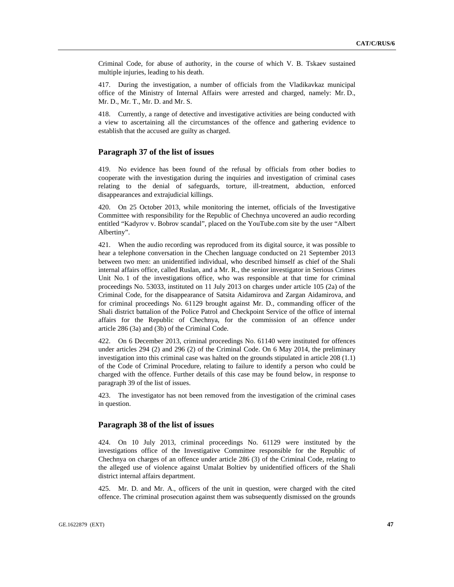Criminal Code, for abuse of authority, in the course of which V. B. Tskaev sustained multiple injuries, leading to his death.

417. During the investigation, a number of officials from the Vladikavkaz municipal office of the Ministry of Internal Affairs were arrested and charged, namely: Mr. D., Mr. D., Mr. T., Mr. D. and Mr. S.

418. Currently, a range of detective and investigative activities are being conducted with a view to ascertaining all the circumstances of the offence and gathering evidence to establish that the accused are guilty as charged.

## **Paragraph 37 of the list of issues**

419. No evidence has been found of the refusal by officials from other bodies to cooperate with the investigation during the inquiries and investigation of criminal cases relating to the denial of safeguards, torture, ill-treatment, abduction, enforced disappearances and extrajudicial killings.

420. On 25 October 2013, while monitoring the internet, officials of the Investigative Committee with responsibility for the Republic of Chechnya uncovered an audio recording entitled "Kadyrov v. Bobrov scandal", placed on the YouTube.com site by the user "Albert Albertiny".

421. When the audio recording was reproduced from its digital source, it was possible to hear a telephone conversation in the Chechen language conducted on 21 September 2013 between two men: an unidentified individual, who described himself as chief of the Shali internal affairs office, called Ruslan, and a Mr. R., the senior investigator in Serious Crimes Unit No. 1 of the investigations office, who was responsible at that time for criminal proceedings No. 53033, instituted on 11 July 2013 on charges under article 105 (2a) of the Criminal Code, for the disappearance of Satsita Aidamirova and Zargan Aidamirova, and for criminal proceedings No. 61129 brought against Mr. D., commanding officer of the Shali district battalion of the Police Patrol and Checkpoint Service of the office of internal affairs for the Republic of Chechnya, for the commission of an offence under article 286 (3a) and (3b) of the Criminal Code.

422. On 6 December 2013, criminal proceedings No. 61140 were instituted for offences under articles 294 (2) and 296 (2) of the Criminal Code. On 6 May 2014, the preliminary investigation into this criminal case was halted on the grounds stipulated in article 208 (1.1) of the Code of Criminal Procedure, relating to failure to identify a person who could be charged with the offence. Further details of this case may be found below, in response to paragraph 39 of the list of issues.

423. The investigator has not been removed from the investigation of the criminal cases in question.

#### **Paragraph 38 of the list of issues**

424. On 10 July 2013, criminal proceedings No. 61129 were instituted by the investigations office of the Investigative Committee responsible for the Republic of Chechnya on charges of an offence under article 286 (3) of the Criminal Code, relating to the alleged use of violence against Umalat Boltiev by unidentified officers of the Shali district internal affairs department.

425. Mr. D. and Mr. A., officers of the unit in question, were charged with the cited offence. The criminal prosecution against them was subsequently dismissed on the grounds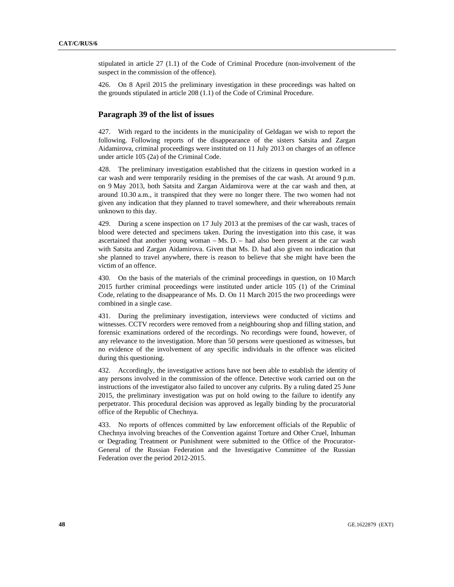stipulated in article 27 (1.1) of the Code of Criminal Procedure (non-involvement of the suspect in the commission of the offence).

426. On 8 April 2015 the preliminary investigation in these proceedings was halted on the grounds stipulated in article 208 (1.1) of the Code of Criminal Procedure.

## **Paragraph 39 of the list of issues**

427. With regard to the incidents in the municipality of Geldagan we wish to report the following. Following reports of the disappearance of the sisters Satsita and Zargan Aidamirova, criminal proceedings were instituted on 11 July 2013 on charges of an offence under article 105 (2a) of the Criminal Code.

428. The preliminary investigation established that the citizens in question worked in a car wash and were temporarily residing in the premises of the car wash. At around 9 p.m. on 9 May 2013, both Satsita and Zargan Aidamirova were at the car wash and then, at around 10.30 a.m., it transpired that they were no longer there. The two women had not given any indication that they planned to travel somewhere, and their whereabouts remain unknown to this day.

429. During a scene inspection on 17 July 2013 at the premises of the car wash, traces of blood were detected and specimens taken. During the investigation into this case, it was ascertained that another young woman  $-Ms$ . D.  $-$  had also been present at the car wash with Satsita and Zargan Aidamirova. Given that Ms. D. had also given no indication that she planned to travel anywhere, there is reason to believe that she might have been the victim of an offence.

430. On the basis of the materials of the criminal proceedings in question, on 10 March 2015 further criminal proceedings were instituted under article 105 (1) of the Criminal Code, relating to the disappearance of Ms. D. On 11 March 2015 the two proceedings were combined in a single case.

431. During the preliminary investigation, interviews were conducted of victims and witnesses. CCTV recorders were removed from a neighbouring shop and filling station, and forensic examinations ordered of the recordings. No recordings were found, however, of any relevance to the investigation. More than 50 persons were questioned as witnesses, but no evidence of the involvement of any specific individuals in the offence was elicited during this questioning.

432. Accordingly, the investigative actions have not been able to establish the identity of any persons involved in the commission of the offence. Detective work carried out on the instructions of the investigator also failed to uncover any culprits. By a ruling dated 25 June 2015, the preliminary investigation was put on hold owing to the failure to identify any perpetrator. This procedural decision was approved as legally binding by the procuratorial office of the Republic of Chechnya.

433. No reports of offences committed by law enforcement officials of the Republic of Chechnya involving breaches of the Convention against Torture and Other Cruel, Inhuman or Degrading Treatment or Punishment were submitted to the Office of the Procurator-General of the Russian Federation and the Investigative Committee of the Russian Federation over the period 2012-2015.